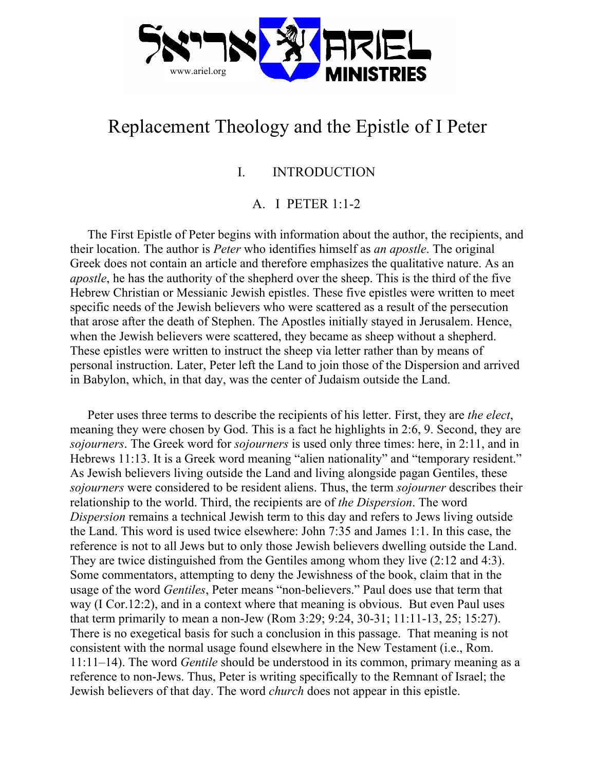

# Replacement Theology and the Epistle of I Peter

# I. INTRODUCTION

# A. I PETER 1:1-2

The First Epistle of Peter begins with information about the author, the recipients, and their location. The author is *Peter* who identifies himself as *an apostle*. The original Greek does not contain an article and therefore emphasizes the qualitative nature. As an *apostle*, he has the authority of the shepherd over the sheep. This is the third of the five Hebrew Christian or Messianic Jewish epistles. These five epistles were written to meet specific needs of the Jewish believers who were scattered as a result of the persecution that arose after the death of Stephen. The Apostles initially stayed in Jerusalem. Hence, when the Jewish believers were scattered, they became as sheep without a shepherd. These epistles were written to instruct the sheep via letter rather than by means of personal instruction. Later, Peter left the Land to join those of the Dispersion and arrived in Babylon, which, in that day, was the center of Judaism outside the Land.

Peter uses three terms to describe the recipients of his letter. First, they are *the elect*, meaning they were chosen by God. This is a fact he highlights in 2:6, 9. Second, they are *sojourners*. The Greek word for *sojourners* is used only three times: here, in 2:11, and in Hebrews 11:13. It is a Greek word meaning "alien nationality" and "temporary resident." As Jewish believers living outside the Land and living alongside pagan Gentiles, these *sojourners* were considered to be resident aliens. Thus, the term *sojourner* describes their relationship to the world. Third, the recipients are of *the Dispersion*. The word *Dispersion* remains a technical Jewish term to this day and refers to Jews living outside the Land. This word is used twice elsewhere: John 7:35 and James 1:1. In this case, the reference is not to all Jews but to only those Jewish believers dwelling outside the Land. They are twice distinguished from the Gentiles among whom they live (2:12 and 4:3). Some commentators, attempting to deny the Jewishness of the book, claim that in the usage of the word *Gentiles*, Peter means "non-believers." Paul does use that term that way (I Cor.12:2), and in a context where that meaning is obvious. But even Paul uses that term primarily to mean a non-Jew (Rom 3:29; 9:24, 30-31; 11:11-13, 25; 15:27). There is no exegetical basis for such a conclusion in this passage. That meaning is not consistent with the normal usage found elsewhere in the New Testament (i.e., Rom. 11:11–14). The word *Gentile* should be understood in its common, primary meaning as a reference to non-Jews. Thus, Peter is writing specifically to the Remnant of Israel; the Jewish believers of that day. The word *church* does not appear in this epistle.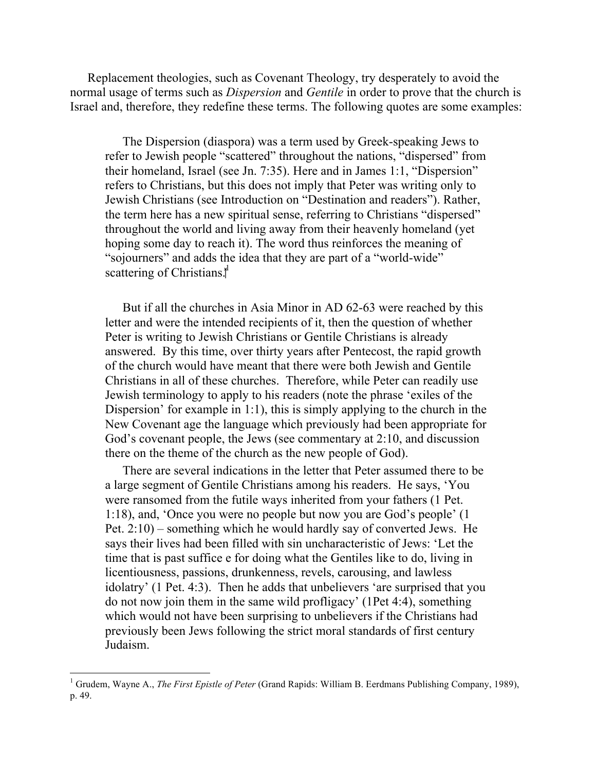Replacement theologies, such as Covenant Theology, try desperately to avoid the normal usage of terms such as *Dispersion* and *Gentile* in order to prove that the church is Israel and, therefore, they redefine these terms. The following quotes are some examples:

The Dispersion (diaspora) was a term used by Greek-speaking Jews to refer to Jewish people "scattered" throughout the nations, "dispersed" from their homeland, Israel (see Jn. 7:35). Here and in James 1:1, "Dispersion" refers to Christians, but this does not imply that Peter was writing only to Jewish Christians (see Introduction on "Destination and readers"). Rather, the term here has a new spiritual sense, referring to Christians "dispersed" throughout the world and living away from their heavenly homeland (yet hoping some day to reach it). The word thus reinforces the meaning of "sojourners" and adds the idea that they are part of a "world-wide" scattering of Christians.<sup>\*</sup>

But if all the churches in Asia Minor in AD 62-63 were reached by this letter and were the intended recipients of it, then the question of whether Peter is writing to Jewish Christians or Gentile Christians is already answered. By this time, over thirty years after Pentecost, the rapid growth of the church would have meant that there were both Jewish and Gentile Christians in all of these churches. Therefore, while Peter can readily use Jewish terminology to apply to his readers (note the phrase 'exiles of the Dispersion' for example in 1:1), this is simply applying to the church in the New Covenant age the language which previously had been appropriate for God's covenant people, the Jews (see commentary at 2:10, and discussion there on the theme of the church as the new people of God).

There are several indications in the letter that Peter assumed there to be a large segment of Gentile Christians among his readers. He says, 'You were ransomed from the futile ways inherited from your fathers (1 Pet. 1:18), and, 'Once you were no people but now you are God's people' (1 Pet. 2:10) – something which he would hardly say of converted Jews. He says their lives had been filled with sin uncharacteristic of Jews: 'Let the time that is past suffice e for doing what the Gentiles like to do, living in licentiousness, passions, drunkenness, revels, carousing, and lawless idolatry' (1 Pet. 4:3). Then he adds that unbelievers 'are surprised that you do not now join them in the same wild profligacy' (1Pet 4:4), something which would not have been surprising to unbelievers if the Christians had previously been Jews following the strict moral standards of first century Judaism.

 $\frac{1}{1}$ <sup>1</sup> Grudem, Wavne A., *The First Epistle of Peter* (Grand Rapids: William B. Eerdmans Publishing Company, 1989), p. 49.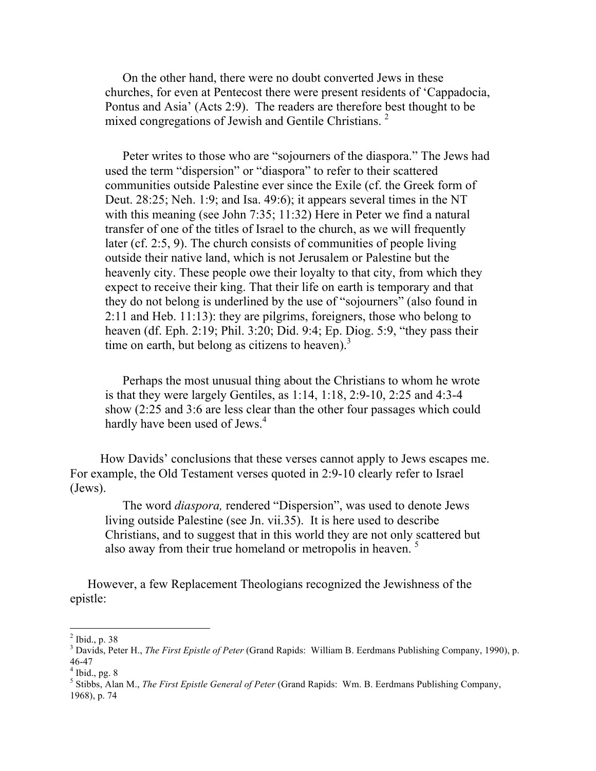On the other hand, there were no doubt converted Jews in these churches, for even at Pentecost there were present residents of 'Cappadocia, Pontus and Asia' (Acts 2:9). The readers are therefore best thought to be mixed congregations of Jewish and Gentile Christians.<sup>2</sup>

Peter writes to those who are "sojourners of the diaspora." The Jews had used the term "dispersion" or "diaspora" to refer to their scattered communities outside Palestine ever since the Exile (cf. the Greek form of Deut. 28:25; Neh. 1:9; and Isa. 49:6); it appears several times in the NT with this meaning (see John 7:35; 11:32) Here in Peter we find a natural transfer of one of the titles of Israel to the church, as we will frequently later (cf. 2:5, 9). The church consists of communities of people living outside their native land, which is not Jerusalem or Palestine but the heavenly city. These people owe their loyalty to that city, from which they expect to receive their king. That their life on earth is temporary and that they do not belong is underlined by the use of "sojourners" (also found in 2:11 and Heb. 11:13): they are pilgrims, foreigners, those who belong to heaven (df. Eph. 2:19; Phil. 3:20; Did. 9:4; Ep. Diog. 5:9, "they pass their time on earth, but belong as citizens to heaven).<sup>3</sup>

Perhaps the most unusual thing about the Christians to whom he wrote is that they were largely Gentiles, as 1:14, 1:18, 2:9-10, 2:25 and 4:3-4 show (2:25 and 3:6 are less clear than the other four passages which could hardly have been used of Jews.<sup>4</sup>

 How Davids' conclusions that these verses cannot apply to Jews escapes me. For example, the Old Testament verses quoted in 2:9-10 clearly refer to Israel (Jews).

The word *diaspora,* rendered "Dispersion", was used to denote Jews living outside Palestine (see Jn. vii.35). It is here used to describe Christians, and to suggest that in this world they are not only scattered but also away from their true homeland or metropolis in heaven.<sup>5</sup>

However, a few Replacement Theologians recognized the Jewishness of the epistle:

 $\frac{1}{2}$  $<sup>2</sup>$  Ibid., p. 38</sup>

<sup>&</sup>lt;sup>3</sup> Davids, Peter H., *The First Epistle of Peter* (Grand Rapids: William B. Eerdmans Publishing Company, 1990), p. 46-47

 $<sup>4</sup>$  Ibid., pg. 8</sup>

<sup>5</sup> Stibbs, Alan M., *The First Epistle General of Peter* (Grand Rapids: Wm. B. Eerdmans Publishing Company, 1968), p. 74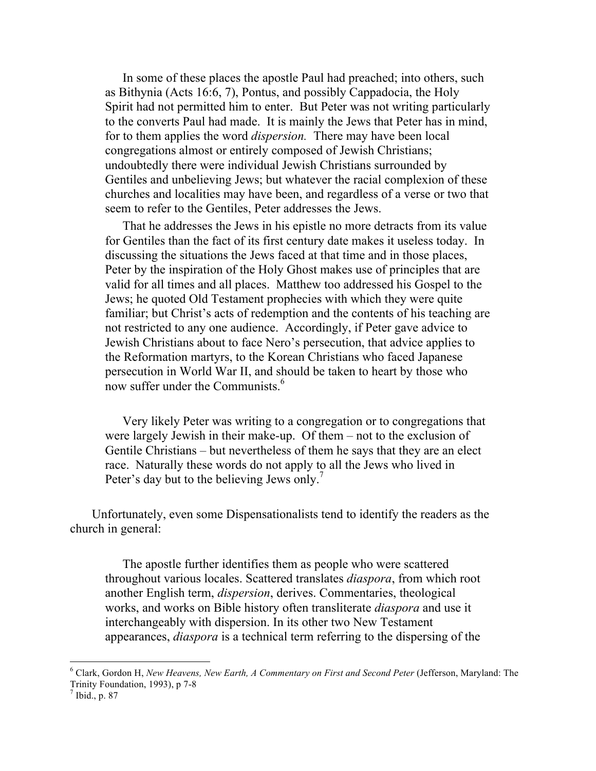In some of these places the apostle Paul had preached; into others, such as Bithynia (Acts 16:6, 7), Pontus, and possibly Cappadocia, the Holy Spirit had not permitted him to enter. But Peter was not writing particularly to the converts Paul had made. It is mainly the Jews that Peter has in mind, for to them applies the word *dispersion.* There may have been local congregations almost or entirely composed of Jewish Christians; undoubtedly there were individual Jewish Christians surrounded by Gentiles and unbelieving Jews; but whatever the racial complexion of these churches and localities may have been, and regardless of a verse or two that seem to refer to the Gentiles, Peter addresses the Jews.

That he addresses the Jews in his epistle no more detracts from its value for Gentiles than the fact of its first century date makes it useless today. In discussing the situations the Jews faced at that time and in those places, Peter by the inspiration of the Holy Ghost makes use of principles that are valid for all times and all places. Matthew too addressed his Gospel to the Jews; he quoted Old Testament prophecies with which they were quite familiar; but Christ's acts of redemption and the contents of his teaching are not restricted to any one audience. Accordingly, if Peter gave advice to Jewish Christians about to face Nero's persecution, that advice applies to the Reformation martyrs, to the Korean Christians who faced Japanese persecution in World War II, and should be taken to heart by those who now suffer under the Communists.<sup>6</sup>

Very likely Peter was writing to a congregation or to congregations that were largely Jewish in their make-up. Of them – not to the exclusion of Gentile Christians – but nevertheless of them he says that they are an elect race. Naturally these words do not apply to all the Jews who lived in Peter's day but to the believing Jews only.<sup>7</sup>

Unfortunately, even some Dispensationalists tend to identify the readers as the church in general:

The apostle further identifies them as people who were scattered throughout various locales. Scattered translates *diaspora*, from which root another English term, *dispersion*, derives. Commentaries, theological works, and works on Bible history often transliterate *diaspora* and use it interchangeably with dispersion. In its other two New Testament appearances, *diaspora* is a technical term referring to the dispersing of the

 $\frac{1}{6}$  Clark, Gordon H, *New Heavens, New Earth, A Commentary on First and Second Peter* (Jefferson, Maryland: The Trinity Foundation, 1993), p 7-8

 $^7$  Ibid., p. 87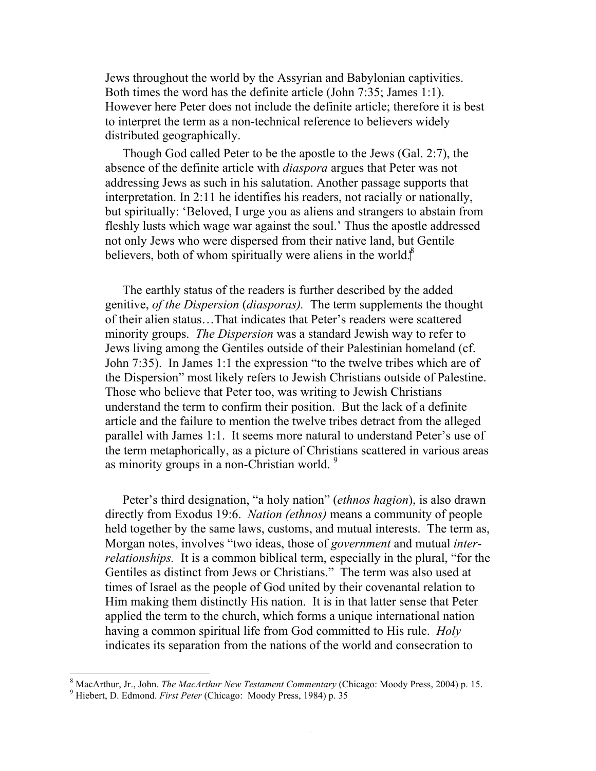Jews throughout the world by the Assyrian and Babylonian captivities. Both times the word has the definite article (John 7:35; James 1:1). However here Peter does not include the definite article; therefore it is best to interpret the term as a non-technical reference to believers widely distributed geographically.

Though God called Peter to be the apostle to the Jews (Gal. 2:7), the absence of the definite article with *diaspora* argues that Peter was not addressing Jews as such in his salutation. Another passage supports that interpretation. In 2:11 he identifies his readers, not racially or nationally, but spiritually: 'Beloved, I urge you as aliens and strangers to abstain from fleshly lusts which wage war against the soul.' Thus the apostle addressed not only Jews who were dispersed from their native land, but Gentile believers, both of whom spiritually were aliens in the world. $^8$ 

The earthly status of the readers is further described by the added genitive, *of the Dispersion* (*diasporas).* The term supplements the thought of their alien status…That indicates that Peter's readers were scattered minority groups. *The Dispersion* was a standard Jewish way to refer to Jews living among the Gentiles outside of their Palestinian homeland (cf. John 7:35). In James 1:1 the expression "to the twelve tribes which are of the Dispersion" most likely refers to Jewish Christians outside of Palestine. Those who believe that Peter too, was writing to Jewish Christians understand the term to confirm their position. But the lack of a definite article and the failure to mention the twelve tribes detract from the alleged parallel with James 1:1. It seems more natural to understand Peter's use of the term metaphorically, as a picture of Christians scattered in various areas as minority groups in a non-Christian world.<sup>9</sup>

Peter's third designation, "a holy nation" (*ethnos hagion*), is also drawn directly from Exodus 19:6. *Nation (ethnos)* means a community of people held together by the same laws, customs, and mutual interests. The term as, Morgan notes, involves "two ideas, those of *government* and mutual *interrelationships.* It is a common biblical term, especially in the plural, "for the Gentiles as distinct from Jews or Christians." The term was also used at times of Israel as the people of God united by their covenantal relation to Him making them distinctly His nation. It is in that latter sense that Peter applied the term to the church, which forms a unique international nation having a common spiritual life from God committed to His rule. *Holy*  indicates its separation from the nations of the world and consecration to

 <sup>8</sup> <sup>8</sup> MacArthur, Jr., John. *The MacArthur New Testament Commentary (Chicago: Moody Press, 2004) p. 15.* 

<sup>&</sup>lt;sup>9</sup> Hiebert, D. Edmond. *First Peter* (Chicago: Moody Press, 1984) p. 35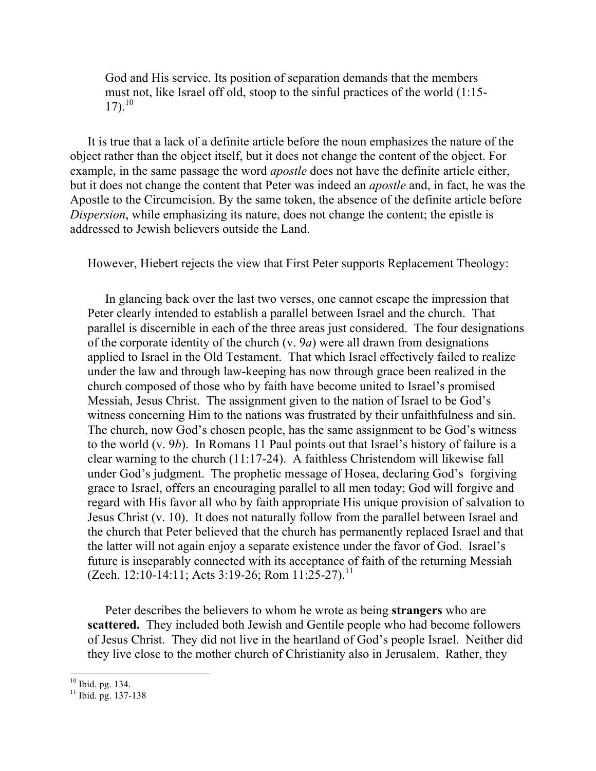God and His service. Its position of separation demands that the members must not, like Israel off old, stoop to the sinful practices of the world (1:15-  $17)$ .<sup>10</sup>

It is true that a lack of a definite article before the noun emphasizes the nature of the object rather than the object itself, but it does not change the content of the object. For example, in the same passage the word *apostle* does not have the definite article either, but it does not change the content that Peter was indeed an *apostle* and, in fact, he was the Apostle to the Circumcision. By the same token, the absence of the definite article before *Dispersion*, while emphasizing its nature, does not change the content; the epistle is addressed to Jewish believers outside the Land.

However, Hiebert rejects the view that First Peter supports Replacement Theology:

In glancing back over the last two verses, one cannot escape the impression that Peter clearly intended to establish a parallel between Israel and the church. That parallel is discernible in each of the three areas just considered. The four designations of the corporate identity of the church (v. 9*a*) were all drawn from designations applied to Israel in the Old Testament. That which Israel effectively failed to realize under the law and through law-keeping has now through grace been realized in the church composed of those who by faith have become united to Israel's promised Messiah, Jesus Christ. The assignment given to the nation of Israel to be God's witness concerning Him to the nations was frustrated by their unfaithfulness and sin. The church, now God's chosen people, has the same assignment to be God's witness to the world (v. 9*b*). In Romans 11 Paul points out that Israel's history of failure is a clear warning to the church (11:17-24). A faithless Christendom will likewise fall under God's judgment. The prophetic message of Hosea, declaring God's forgiving grace to Israel, offers an encouraging parallel to all men today; God will forgive and regard with His favor all who by faith appropriate His unique provision of salvation to Jesus Christ (v. 10). It does not naturally follow from the parallel between Israel and the church that Peter believed that the church has permanently replaced Israel and that the latter will not again enjoy a separate existence under the favor of God. Israel's future is inseparably connected with its acceptance of faith of the returning Messiah (Zech. 12:10-14:11; Acts 3:19-26; Rom  $11:25-27$ ).<sup>11</sup>

Peter describes the believers to whom he wrote as being **strangers** who are **scattered.** They included both Jewish and Gentile people who had become followers of Jesus Christ. They did not live in the heartland of God's people Israel. Neither did they live close to the mother church of Christianity also in Jerusalem. Rather, they

 $10$  Ibid. pg. 134.

 $11$  Ibid. pg. 137-138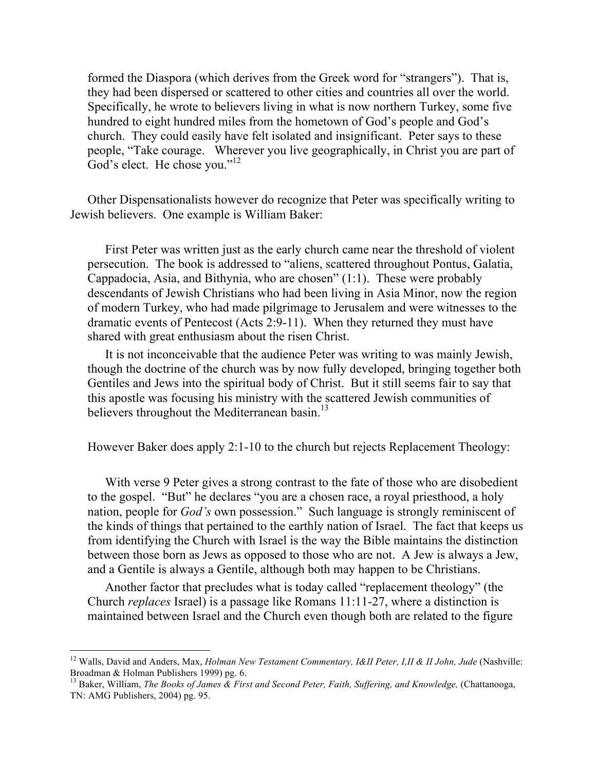formed the Diaspora (which derives from the Greek word for "strangers"). That is, they had been dispersed or scattered to other cities and countries all over the world. Specifically, he wrote to believers living in what is now northern Turkey, some five hundred to eight hundred miles from the hometown of God's people and God's church. They could easily have felt isolated and insignificant. Peter says to these people, "Take courage. Wherever you live geographically, in Christ you are part of God's elect. He chose you."<sup>12</sup>

Other Dispensationalists however do recognize that Peter was specifically writing to Jewish believers. One example is William Baker:

First Peter was written just as the early church came near the threshold of violent persecution. The book is addressed to "aliens, scattered throughout Pontus, Galatia, Cappadocia, Asia, and Bithynia, who are chosen" (1:1). These were probably descendants of Jewish Christians who had been living in Asia Minor, now the region of modern Turkey, who had made pilgrimage to Jerusalem and were witnesses to the dramatic events of Pentecost (Acts 2:9-11). When they returned they must have shared with great enthusiasm about the risen Christ.

It is not inconceivable that the audience Peter was writing to was mainly Jewish, though the doctrine of the church was by now fully developed, bringing together both Gentiles and Jews into the spiritual body of Christ. But it still seems fair to say that this apostle was focusing his ministry with the scattered Jewish communities of believers throughout the Mediterranean basin.<sup>13</sup>

However Baker does apply 2:1-10 to the church but rejects Replacement Theology:

With verse 9 Peter gives a strong contrast to the fate of those who are disobedient to the gospel. "But" he declares "you are a chosen race, a royal priesthood, a holy nation, people for *God's* own possession." Such language is strongly reminiscent of the kinds of things that pertained to the earthly nation of Israel. The fact that keeps us from identifying the Church with Israel is the way the Bible maintains the distinction between those born as Jews as opposed to those who are not. A Jew is always a Jew, and a Gentile is always a Gentile, although both may happen to be Christians.

Another factor that precludes what is today called "replacement theology" (the Church *replaces* Israel) is a passage like Romans 11:11-27, where a distinction is maintained between Israel and the Church even though both are related to the figure

<sup>&</sup>lt;sup>12</sup> Walls, David and Anders, Max, *Holman New Testament Commentary, I&II Peter, I,II & II John, Jude* (Nashville: Broadman & Holman Publishers 1999) pg. 6.

<sup>&</sup>lt;sup>13</sup> Baker, William, *The Books of James & First and Second Peter, Faith, Suffering, and Knowledge, (Chattanooga,* TN: AMG Publishers, 2004) pg. 95.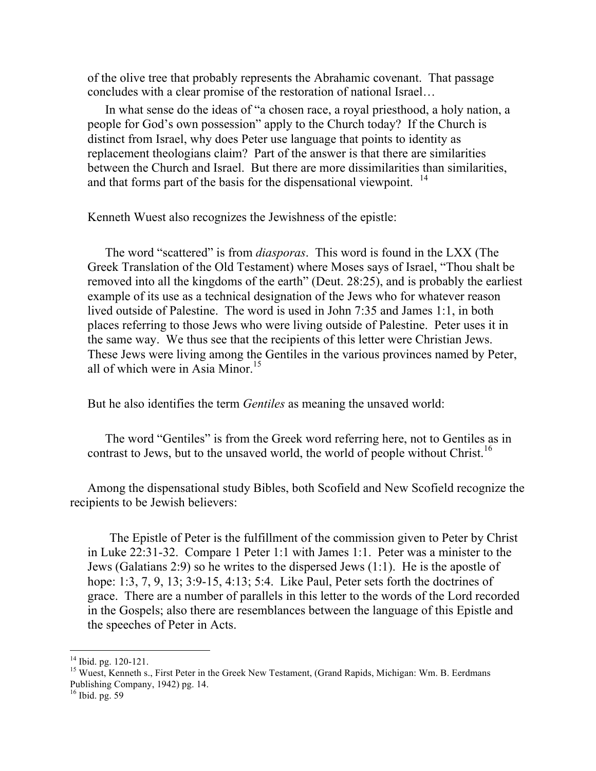of the olive tree that probably represents the Abrahamic covenant. That passage concludes with a clear promise of the restoration of national Israel…

In what sense do the ideas of "a chosen race, a royal priesthood, a holy nation, a people for God's own possession" apply to the Church today? If the Church is distinct from Israel, why does Peter use language that points to identity as replacement theologians claim? Part of the answer is that there are similarities between the Church and Israel. But there are more dissimilarities than similarities, and that forms part of the basis for the dispensational viewpoint. <sup>14</sup>

Kenneth Wuest also recognizes the Jewishness of the epistle:

The word "scattered" is from *diasporas*. This word is found in the LXX (The Greek Translation of the Old Testament) where Moses says of Israel, "Thou shalt be removed into all the kingdoms of the earth" (Deut. 28:25), and is probably the earliest example of its use as a technical designation of the Jews who for whatever reason lived outside of Palestine. The word is used in John 7:35 and James 1:1, in both places referring to those Jews who were living outside of Palestine. Peter uses it in the same way. We thus see that the recipients of this letter were Christian Jews. These Jews were living among the Gentiles in the various provinces named by Peter, all of which were in Asia Minor.<sup>15</sup>

But he also identifies the term *Gentiles* as meaning the unsaved world:

The word "Gentiles" is from the Greek word referring here, not to Gentiles as in contrast to Jews, but to the unsaved world, the world of people without Christ.<sup>16</sup>

Among the dispensational study Bibles, both Scofield and New Scofield recognize the recipients to be Jewish believers:

The Epistle of Peter is the fulfillment of the commission given to Peter by Christ in Luke 22:31-32. Compare 1 Peter 1:1 with James 1:1. Peter was a minister to the Jews (Galatians 2:9) so he writes to the dispersed Jews (1:1). He is the apostle of hope: 1:3, 7, 9, 13; 3:9-15, 4:13; 5:4. Like Paul, Peter sets forth the doctrines of grace. There are a number of parallels in this letter to the words of the Lord recorded in the Gospels; also there are resemblances between the language of this Epistle and the speeches of Peter in Acts.

<sup>&</sup>lt;sup>14</sup> Ibid. pg. 120-121.<br><sup>15</sup> Wuest, Kenneth s., First Peter in the Greek New Testament, (Grand Rapids, Michigan: Wm. B. Eerdmans Publishing Company, 1942) pg. 14.<br><sup>16</sup> Ibid. pg. 59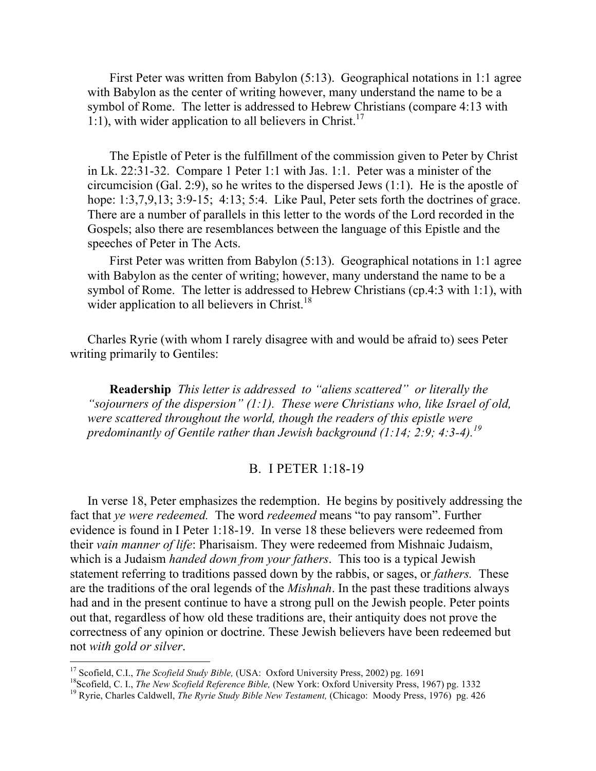First Peter was written from Babylon (5:13). Geographical notations in 1:1 agree with Babylon as the center of writing however, many understand the name to be a symbol of Rome. The letter is addressed to Hebrew Christians (compare 4:13 with 1:1), with wider application to all believers in Christ.<sup>17</sup>

The Epistle of Peter is the fulfillment of the commission given to Peter by Christ in Lk. 22:31-32. Compare 1 Peter 1:1 with Jas. 1:1. Peter was a minister of the circumcision (Gal. 2:9), so he writes to the dispersed Jews (1:1). He is the apostle of hope: 1:3,7,9,13; 3:9-15; 4:13; 5:4. Like Paul, Peter sets forth the doctrines of grace. There are a number of parallels in this letter to the words of the Lord recorded in the Gospels; also there are resemblances between the language of this Epistle and the speeches of Peter in The Acts.

First Peter was written from Babylon (5:13). Geographical notations in 1:1 agree with Babylon as the center of writing; however, many understand the name to be a symbol of Rome. The letter is addressed to Hebrew Christians (cp.4:3 with 1:1), with wider application to all believers in Christ.<sup>18</sup>

Charles Ryrie (with whom I rarely disagree with and would be afraid to) sees Peter writing primarily to Gentiles:

**Readership** *This letter is addressed to "aliens scattered" or literally the "sojourners of the dispersion" (1:1). These were Christians who, like Israel of old, were scattered throughout the world, though the readers of this epistle were predominantly of Gentile rather than Jewish background (1:14; 2:9; 4:3-4).<sup>19</sup>*

#### B. I PETER 1:18-19

In verse 18, Peter emphasizes the redemption. He begins by positively addressing the fact that *ye were redeemed.* The word *redeemed* means "to pay ransom". Further evidence is found in I Peter 1:18-19. In verse 18 these believers were redeemed from their *vain manner of life*: Pharisaism. They were redeemed from Mishnaic Judaism, which is a Judaism *handed down from your fathers*. This too is a typical Jewish statement referring to traditions passed down by the rabbis, or sages, or *fathers.* These are the traditions of the oral legends of the *Mishnah*. In the past these traditions always had and in the present continue to have a strong pull on the Jewish people. Peter points out that, regardless of how old these traditions are, their antiquity does not prove the correctness of any opinion or doctrine. These Jewish believers have been redeemed but not *with gold or silver*.

<sup>&</sup>lt;sup>17</sup> Scofield, C.I., *The Scofield Study Bible*, (USA: Oxford University Press, 2002) pg. 1691<br><sup>18</sup> Scofield, C. I., *The New Scofield Reference Bible*, (New York: Oxford University Press, 1967) pg. 1332<br><sup>19</sup> Ryrie, Charl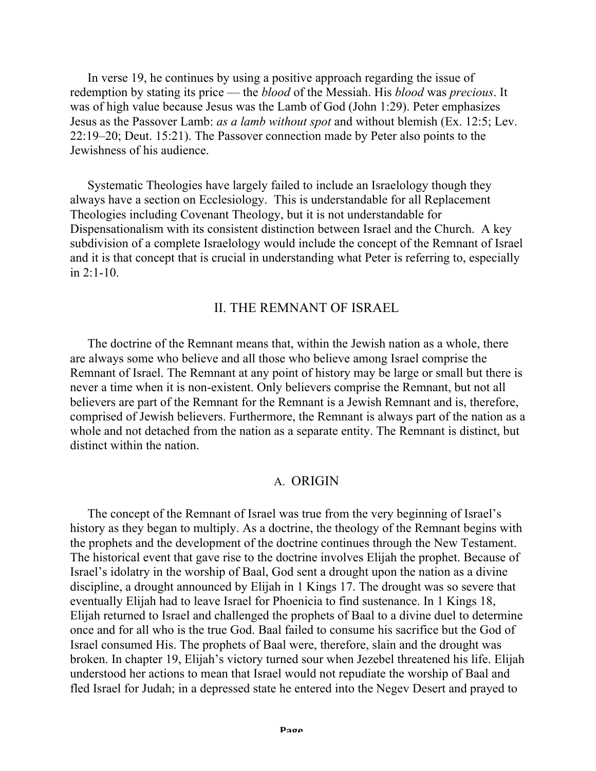In verse 19, he continues by using a positive approach regarding the issue of redemption by stating its price — the *blood* of the Messiah. His *blood* was *precious*. It was of high value because Jesus was the Lamb of God (John 1:29). Peter emphasizes Jesus as the Passover Lamb: *as a lamb without spot* and without blemish (Ex. 12:5; Lev. 22:19–20; Deut. 15:21). The Passover connection made by Peter also points to the Jewishness of his audience.

Systematic Theologies have largely failed to include an Israelology though they always have a section on Ecclesiology. This is understandable for all Replacement Theologies including Covenant Theology, but it is not understandable for Dispensationalism with its consistent distinction between Israel and the Church. A key subdivision of a complete Israelology would include the concept of the Remnant of Israel and it is that concept that is crucial in understanding what Peter is referring to, especially in 2:1-10.

## II. THE REMNANT OF ISRAEL

The doctrine of the Remnant means that, within the Jewish nation as a whole, there are always some who believe and all those who believe among Israel comprise the Remnant of Israel. The Remnant at any point of history may be large or small but there is never a time when it is non-existent. Only believers comprise the Remnant, but not all believers are part of the Remnant for the Remnant is a Jewish Remnant and is, therefore, comprised of Jewish believers. Furthermore, the Remnant is always part of the nation as a whole and not detached from the nation as a separate entity. The Remnant is distinct, but distinct within the nation.

#### A. ORIGIN

The concept of the Remnant of Israel was true from the very beginning of Israel's history as they began to multiply. As a doctrine, the theology of the Remnant begins with the prophets and the development of the doctrine continues through the New Testament. The historical event that gave rise to the doctrine involves Elijah the prophet. Because of Israel's idolatry in the worship of Baal, God sent a drought upon the nation as a divine discipline, a drought announced by Elijah in 1 Kings 17. The drought was so severe that eventually Elijah had to leave Israel for Phoenicia to find sustenance. In 1 Kings 18, Elijah returned to Israel and challenged the prophets of Baal to a divine duel to determine once and for all who is the true God. Baal failed to consume his sacrifice but the God of Israel consumed His. The prophets of Baal were, therefore, slain and the drought was broken. In chapter 19, Elijah's victory turned sour when Jezebel threatened his life. Elijah understood her actions to mean that Israel would not repudiate the worship of Baal and fled Israel for Judah; in a depressed state he entered into the Negev Desert and prayed to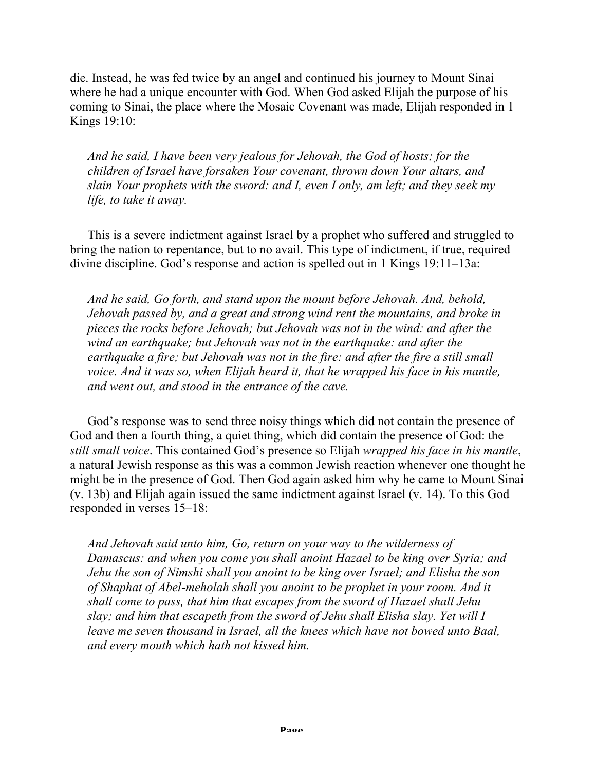die. Instead, he was fed twice by an angel and continued his journey to Mount Sinai where he had a unique encounter with God. When God asked Elijah the purpose of his coming to Sinai, the place where the Mosaic Covenant was made, Elijah responded in 1 Kings 19:10:

*And he said, I have been very jealous for Jehovah, the God of hosts; for the children of Israel have forsaken Your covenant, thrown down Your altars, and slain Your prophets with the sword: and I, even I only, am left; and they seek my life, to take it away.*

This is a severe indictment against Israel by a prophet who suffered and struggled to bring the nation to repentance, but to no avail. This type of indictment, if true, required divine discipline. God's response and action is spelled out in 1 Kings 19:11–13a:

*And he said, Go forth, and stand upon the mount before Jehovah. And, behold, Jehovah passed by, and a great and strong wind rent the mountains, and broke in pieces the rocks before Jehovah; but Jehovah was not in the wind: and after the wind an earthquake; but Jehovah was not in the earthquake: and after the earthquake a fire; but Jehovah was not in the fire: and after the fire a still small voice. And it was so, when Elijah heard it, that he wrapped his face in his mantle, and went out, and stood in the entrance of the cave.*

God's response was to send three noisy things which did not contain the presence of God and then a fourth thing, a quiet thing, which did contain the presence of God: the *still small voice*. This contained God's presence so Elijah *wrapped his face in his mantle*, a natural Jewish response as this was a common Jewish reaction whenever one thought he might be in the presence of God. Then God again asked him why he came to Mount Sinai (v. 13b) and Elijah again issued the same indictment against Israel (v. 14). To this God responded in verses 15–18:

*And Jehovah said unto him, Go, return on your way to the wilderness of Damascus: and when you come you shall anoint Hazael to be king over Syria; and Jehu the son of Nimshi shall you anoint to be king over Israel; and Elisha the son of Shaphat of Abel-meholah shall you anoint to be prophet in your room. And it shall come to pass, that him that escapes from the sword of Hazael shall Jehu slay; and him that escapeth from the sword of Jehu shall Elisha slay. Yet will I leave me seven thousand in Israel, all the knees which have not bowed unto Baal, and every mouth which hath not kissed him.*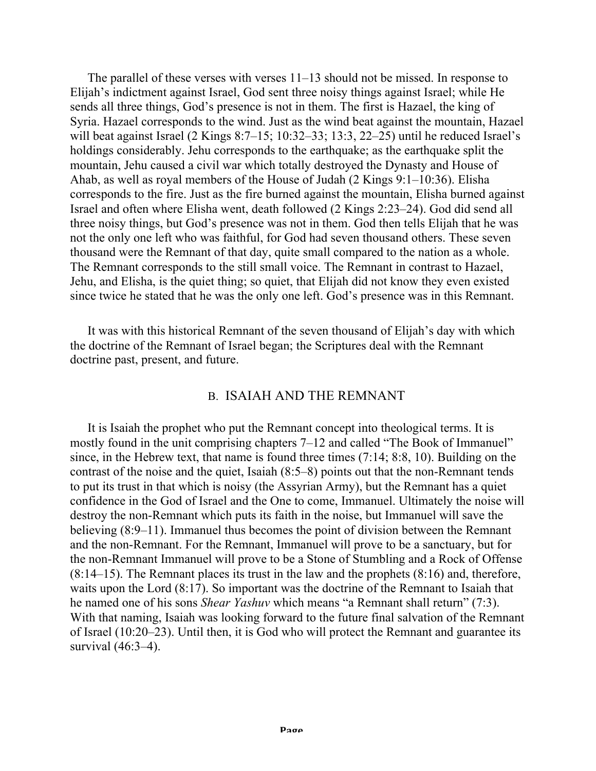The parallel of these verses with verses 11–13 should not be missed. In response to Elijah's indictment against Israel, God sent three noisy things against Israel; while He sends all three things, God's presence is not in them. The first is Hazael, the king of Syria. Hazael corresponds to the wind. Just as the wind beat against the mountain, Hazael will beat against Israel (2 Kings 8:7–15; 10:32–33; 13:3, 22–25) until he reduced Israel's holdings considerably. Jehu corresponds to the earthquake; as the earthquake split the mountain, Jehu caused a civil war which totally destroyed the Dynasty and House of Ahab, as well as royal members of the House of Judah (2 Kings 9:1–10:36). Elisha corresponds to the fire. Just as the fire burned against the mountain, Elisha burned against Israel and often where Elisha went, death followed (2 Kings 2:23–24). God did send all three noisy things, but God's presence was not in them. God then tells Elijah that he was not the only one left who was faithful, for God had seven thousand others. These seven thousand were the Remnant of that day, quite small compared to the nation as a whole. The Remnant corresponds to the still small voice. The Remnant in contrast to Hazael, Jehu, and Elisha, is the quiet thing; so quiet, that Elijah did not know they even existed since twice he stated that he was the only one left. God's presence was in this Remnant.

It was with this historical Remnant of the seven thousand of Elijah's day with which the doctrine of the Remnant of Israel began; the Scriptures deal with the Remnant doctrine past, present, and future.

### B. ISAIAH AND THE REMNANT

It is Isaiah the prophet who put the Remnant concept into theological terms. It is mostly found in the unit comprising chapters 7–12 and called "The Book of Immanuel" since, in the Hebrew text, that name is found three times (7:14; 8:8, 10). Building on the contrast of the noise and the quiet, Isaiah (8:5–8) points out that the non-Remnant tends to put its trust in that which is noisy (the Assyrian Army), but the Remnant has a quiet confidence in the God of Israel and the One to come, Immanuel. Ultimately the noise will destroy the non-Remnant which puts its faith in the noise, but Immanuel will save the believing (8:9–11). Immanuel thus becomes the point of division between the Remnant and the non-Remnant. For the Remnant, Immanuel will prove to be a sanctuary, but for the non-Remnant Immanuel will prove to be a Stone of Stumbling and a Rock of Offense (8:14–15). The Remnant places its trust in the law and the prophets (8:16) and, therefore, waits upon the Lord (8:17). So important was the doctrine of the Remnant to Isaiah that he named one of his sons *Shear Yashuv* which means "a Remnant shall return" (7:3). With that naming, Isaiah was looking forward to the future final salvation of the Remnant of Israel (10:20–23). Until then, it is God who will protect the Remnant and guarantee its survival (46:3–4).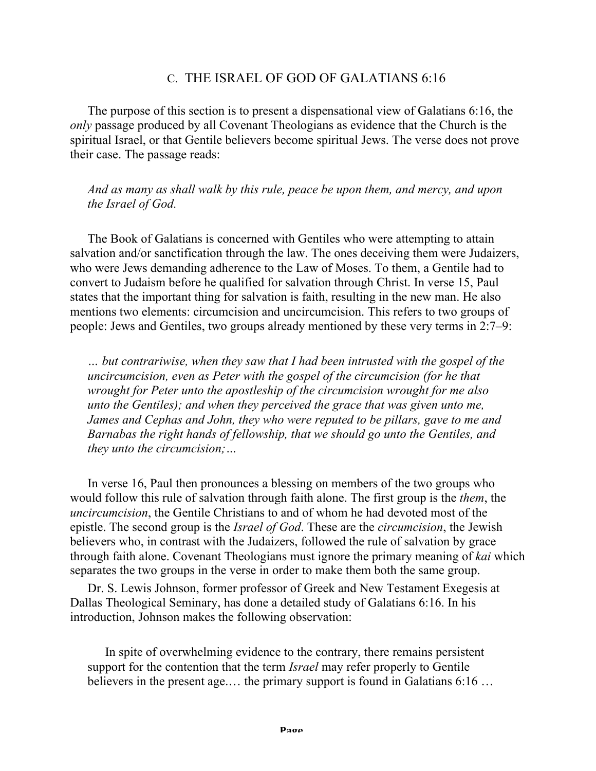## C. THE ISRAEL OF GOD OF GALATIANS 6:16

The purpose of this section is to present a dispensational view of Galatians 6:16, the *only* passage produced by all Covenant Theologians as evidence that the Church is the spiritual Israel, or that Gentile believers become spiritual Jews. The verse does not prove their case. The passage reads:

*And as many as shall walk by this rule, peace be upon them, and mercy, and upon the Israel of God.*

The Book of Galatians is concerned with Gentiles who were attempting to attain salvation and/or sanctification through the law. The ones deceiving them were Judaizers, who were Jews demanding adherence to the Law of Moses. To them, a Gentile had to convert to Judaism before he qualified for salvation through Christ. In verse 15, Paul states that the important thing for salvation is faith, resulting in the new man. He also mentions two elements: circumcision and uncircumcision. This refers to two groups of people: Jews and Gentiles, two groups already mentioned by these very terms in 2:7–9:

*… but contrariwise, when they saw that I had been intrusted with the gospel of the uncircumcision, even as Peter with the gospel of the circumcision (for he that wrought for Peter unto the apostleship of the circumcision wrought for me also unto the Gentiles); and when they perceived the grace that was given unto me, James and Cephas and John, they who were reputed to be pillars, gave to me and Barnabas the right hands of fellowship, that we should go unto the Gentiles, and they unto the circumcision;…*

In verse 16, Paul then pronounces a blessing on members of the two groups who would follow this rule of salvation through faith alone. The first group is the *them*, the *uncircumcision*, the Gentile Christians to and of whom he had devoted most of the epistle. The second group is the *Israel of God*. These are the *circumcision*, the Jewish believers who, in contrast with the Judaizers, followed the rule of salvation by grace through faith alone. Covenant Theologians must ignore the primary meaning of *kai* which separates the two groups in the verse in order to make them both the same group.

Dr. S. Lewis Johnson, former professor of Greek and New Testament Exegesis at Dallas Theological Seminary, has done a detailed study of Galatians 6:16. In his introduction, Johnson makes the following observation:

In spite of overwhelming evidence to the contrary, there remains persistent support for the contention that the term *Israel* may refer properly to Gentile believers in the present age.… the primary support is found in Galatians 6:16 …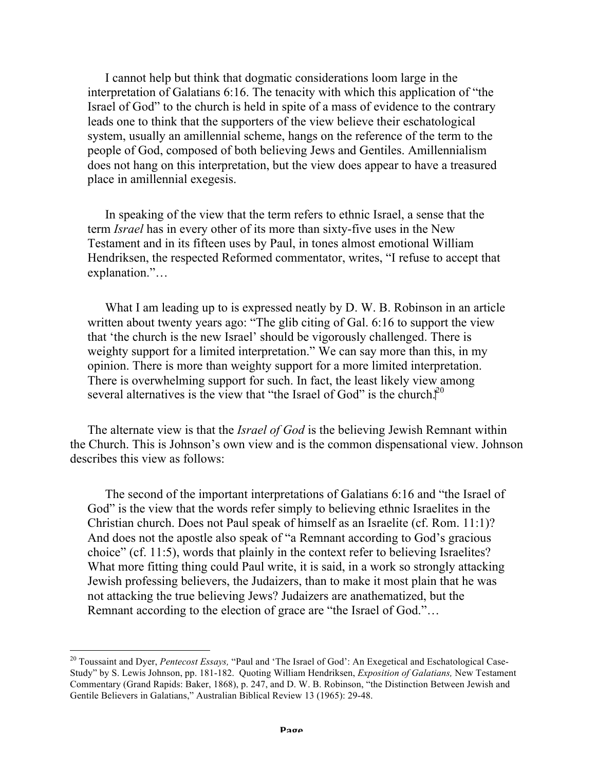I cannot help but think that dogmatic considerations loom large in the interpretation of Galatians 6:16. The tenacity with which this application of "the Israel of God" to the church is held in spite of a mass of evidence to the contrary leads one to think that the supporters of the view believe their eschatological system, usually an amillennial scheme, hangs on the reference of the term to the people of God, composed of both believing Jews and Gentiles. Amillennialism does not hang on this interpretation, but the view does appear to have a treasured place in amillennial exegesis.

In speaking of the view that the term refers to ethnic Israel, a sense that the term *Israel* has in every other of its more than sixty-five uses in the New Testament and in its fifteen uses by Paul, in tones almost emotional William Hendriksen, the respected Reformed commentator, writes, "I refuse to accept that explanation."…

What I am leading up to is expressed neatly by D. W. B. Robinson in an article written about twenty years ago: "The glib citing of Gal. 6:16 to support the view that 'the church is the new Israel' should be vigorously challenged. There is weighty support for a limited interpretation." We can say more than this, in my opinion. There is more than weighty support for a more limited interpretation. There is overwhelming support for such. In fact, the least likely view among several alternatives is the view that "the Israel of God" is the church. $\tilde{f}^0$ 

The alternate view is that the *Israel of God* is the believing Jewish Remnant within the Church. This is Johnson's own view and is the common dispensational view. Johnson describes this view as follows:

The second of the important interpretations of Galatians 6:16 and "the Israel of God" is the view that the words refer simply to believing ethnic Israelites in the Christian church. Does not Paul speak of himself as an Israelite (cf. Rom. 11:1)? And does not the apostle also speak of "a Remnant according to God's gracious choice" (cf. 11:5), words that plainly in the context refer to believing Israelites? What more fitting thing could Paul write, it is said, in a work so strongly attacking Jewish professing believers, the Judaizers, than to make it most plain that he was not attacking the true believing Jews? Judaizers are anathematized, but the Remnant according to the election of grace are "the Israel of God."…

<sup>&</sup>lt;sup>20</sup> Toussaint and Dyer, Pentecost Essays, "Paul and 'The Israel of God': An Exegetical and Eschatological Case-Study" by S. Lewis Johnson, pp. 181-182. Quoting William Hendriksen, *Exposition of Galatians,* New Testament Commentary (Grand Rapids: Baker, 1868), p. 247, and D. W. B. Robinson, "the Distinction Between Jewish and Gentile Believers in Galatians," Australian Biblical Review 13 (1965): 29-48.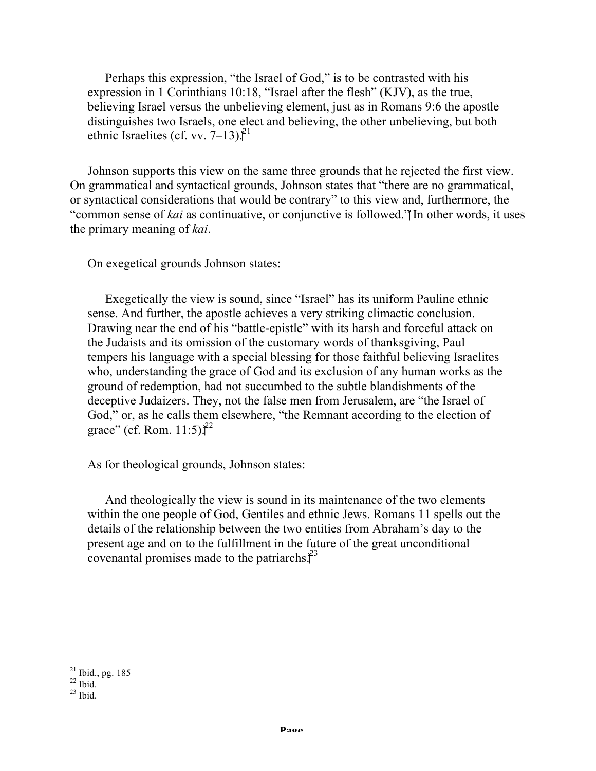Perhaps this expression, "the Israel of God," is to be contrasted with his expression in 1 Corinthians 10:18, "Israel after the flesh" (KJV), as the true, believing Israel versus the unbelieving element, just as in Romans 9:6 the apostle distinguishes two Israels, one elect and believing, the other unbelieving, but both ethnic Israelites (cf. vv.  $7-13$ ).<sup>21</sup>

Johnson supports this view on the same three grounds that he rejected the first view. On grammatical and syntactical grounds, Johnson states that "there are no grammatical, or syntactical considerations that would be contrary" to this view and, furthermore, the "common sense of *kai* as continuative, or conjunctive is followed." In other words, it uses the primary meaning of *kai*.

On exegetical grounds Johnson states:

Exegetically the view is sound, since "Israel" has its uniform Pauline ethnic sense. And further, the apostle achieves a very striking climactic conclusion. Drawing near the end of his "battle-epistle" with its harsh and forceful attack on the Judaists and its omission of the customary words of thanksgiving, Paul tempers his language with a special blessing for those faithful believing Israelites who, understanding the grace of God and its exclusion of any human works as the ground of redemption, had not succumbed to the subtle blandishments of the deceptive Judaizers. They, not the false men from Jerusalem, are "the Israel of God," or, as he calls them elsewhere, "the Remnant according to the election of grace" (cf. Rom. 11:5). $^{22}$ 

As for theological grounds, Johnson states:

And theologically the view is sound in its maintenance of the two elements within the one people of God, Gentiles and ethnic Jews. Romans 11 spells out the details of the relationship between the two entities from Abraham's day to the present age and on to the fulfillment in the future of the great unconditional covenantal promises made to the patriarchs. $\hat{f}^3$ 

 $\frac{21 \text{ Ibid., pg. } 185}$ 

 $22$  Ibid.

 $^{23}$  Ibid.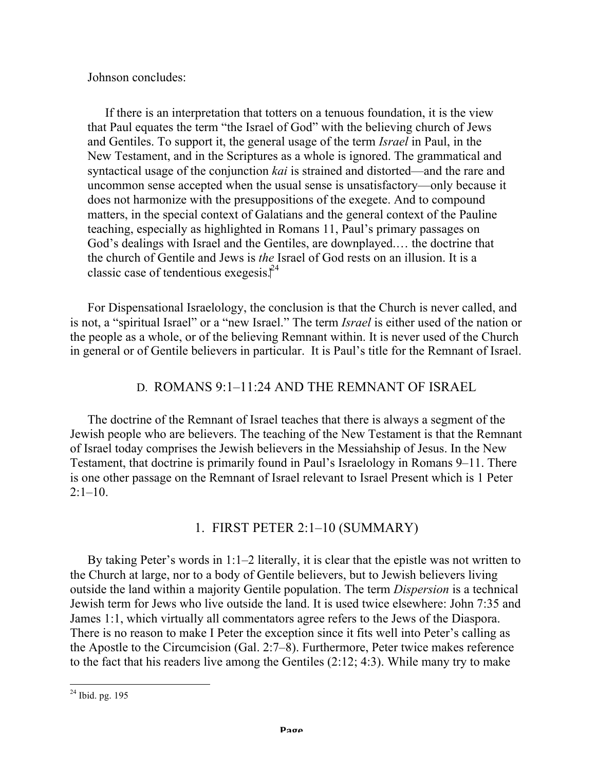Johnson concludes:

If there is an interpretation that totters on a tenuous foundation, it is the view that Paul equates the term "the Israel of God" with the believing church of Jews and Gentiles. To support it, the general usage of the term *Israel* in Paul, in the New Testament, and in the Scriptures as a whole is ignored. The grammatical and syntactical usage of the conjunction *kai* is strained and distorted—and the rare and uncommon sense accepted when the usual sense is unsatisfactory—only because it does not harmonize with the presuppositions of the exegete. And to compound matters, in the special context of Galatians and the general context of the Pauline teaching, especially as highlighted in Romans 11, Paul's primary passages on God's dealings with Israel and the Gentiles, are downplayed.… the doctrine that the church of Gentile and Jews is *the* Israel of God rests on an illusion. It is a classic case of tendentious exegesis. $\hat{I}^4$ 

For Dispensational Israelology, the conclusion is that the Church is never called, and is not, a "spiritual Israel" or a "new Israel." The term *Israel* is either used of the nation or the people as a whole, or of the believing Remnant within. It is never used of the Church in general or of Gentile believers in particular. It is Paul's title for the Remnant of Israel.

# D. ROMANS 9:1–11:24 AND THE REMNANT OF ISRAEL

The doctrine of the Remnant of Israel teaches that there is always a segment of the Jewish people who are believers. The teaching of the New Testament is that the Remnant of Israel today comprises the Jewish believers in the Messiahship of Jesus. In the New Testament, that doctrine is primarily found in Paul's Israelology in Romans 9–11. There is one other passage on the Remnant of Israel relevant to Israel Present which is 1 Peter  $2:1-10.$ 

# 1. FIRST PETER 2:1–10 (SUMMARY)

By taking Peter's words in 1:1–2 literally, it is clear that the epistle was not written to the Church at large, nor to a body of Gentile believers, but to Jewish believers living outside the land within a majority Gentile population. The term *Dispersion* is a technical Jewish term for Jews who live outside the land. It is used twice elsewhere: John 7:35 and James 1:1, which virtually all commentators agree refers to the Jews of the Diaspora. There is no reason to make I Peter the exception since it fits well into Peter's calling as the Apostle to the Circumcision (Gal. 2:7–8). Furthermore, Peter twice makes reference to the fact that his readers live among the Gentiles (2:12; 4:3). While many try to make

 $24$  Ibid. pg. 195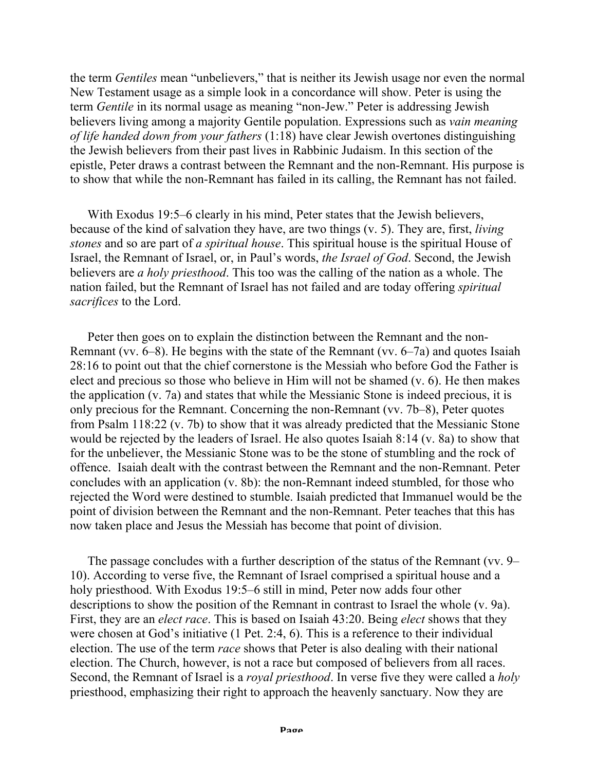the term *Gentiles* mean "unbelievers," that is neither its Jewish usage nor even the normal New Testament usage as a simple look in a concordance will show. Peter is using the term *Gentile* in its normal usage as meaning "non-Jew." Peter is addressing Jewish believers living among a majority Gentile population. Expressions such as *vain meaning of life handed down from your fathers* (1:18) have clear Jewish overtones distinguishing the Jewish believers from their past lives in Rabbinic Judaism. In this section of the epistle, Peter draws a contrast between the Remnant and the non-Remnant. His purpose is to show that while the non-Remnant has failed in its calling, the Remnant has not failed.

With Exodus 19:5–6 clearly in his mind, Peter states that the Jewish believers, because of the kind of salvation they have, are two things (v. 5). They are, first, *living stones* and so are part of *a spiritual house*. This spiritual house is the spiritual House of Israel, the Remnant of Israel, or, in Paul's words, *the Israel of God*. Second, the Jewish believers are *a holy priesthood*. This too was the calling of the nation as a whole. The nation failed, but the Remnant of Israel has not failed and are today offering *spiritual sacrifices* to the Lord.

Peter then goes on to explain the distinction between the Remnant and the non-Remnant (vv. 6–8). He begins with the state of the Remnant (vv. 6–7a) and quotes Isaiah 28:16 to point out that the chief cornerstone is the Messiah who before God the Father is elect and precious so those who believe in Him will not be shamed (v. 6). He then makes the application (v. 7a) and states that while the Messianic Stone is indeed precious, it is only precious for the Remnant. Concerning the non-Remnant (vv. 7b–8), Peter quotes from Psalm 118:22 (v. 7b) to show that it was already predicted that the Messianic Stone would be rejected by the leaders of Israel. He also quotes Isaiah 8:14 (v. 8a) to show that for the unbeliever, the Messianic Stone was to be the stone of stumbling and the rock of offence. Isaiah dealt with the contrast between the Remnant and the non-Remnant. Peter concludes with an application (v. 8b): the non-Remnant indeed stumbled, for those who rejected the Word were destined to stumble. Isaiah predicted that Immanuel would be the point of division between the Remnant and the non-Remnant. Peter teaches that this has now taken place and Jesus the Messiah has become that point of division.

The passage concludes with a further description of the status of the Remnant (vv. 9– 10). According to verse five, the Remnant of Israel comprised a spiritual house and a holy priesthood. With Exodus 19:5–6 still in mind, Peter now adds four other descriptions to show the position of the Remnant in contrast to Israel the whole (v. 9a). First, they are an *elect race*. This is based on Isaiah 43:20. Being *elect* shows that they were chosen at God's initiative (1 Pet. 2:4, 6). This is a reference to their individual election. The use of the term *race* shows that Peter is also dealing with their national election. The Church, however, is not a race but composed of believers from all races. Second, the Remnant of Israel is a *royal priesthood*. In verse five they were called a *holy* priesthood, emphasizing their right to approach the heavenly sanctuary. Now they are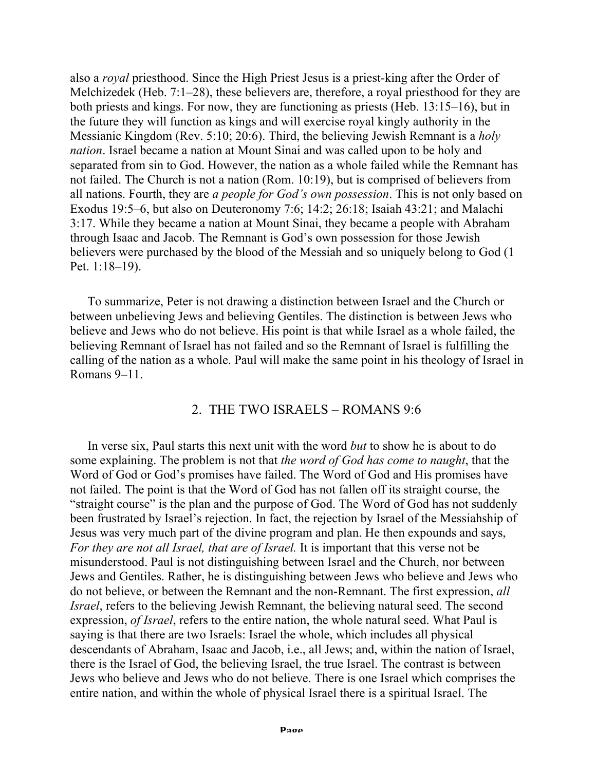also a *royal* priesthood. Since the High Priest Jesus is a priest-king after the Order of Melchizedek (Heb. 7:1–28), these believers are, therefore, a royal priesthood for they are both priests and kings. For now, they are functioning as priests (Heb. 13:15–16), but in the future they will function as kings and will exercise royal kingly authority in the Messianic Kingdom (Rev. 5:10; 20:6). Third, the believing Jewish Remnant is a *holy nation*. Israel became a nation at Mount Sinai and was called upon to be holy and separated from sin to God. However, the nation as a whole failed while the Remnant has not failed. The Church is not a nation (Rom. 10:19), but is comprised of believers from all nations. Fourth, they are *a people for God's own possession*. This is not only based on Exodus 19:5–6, but also on Deuteronomy 7:6; 14:2; 26:18; Isaiah 43:21; and Malachi 3:17. While they became a nation at Mount Sinai, they became a people with Abraham through Isaac and Jacob. The Remnant is God's own possession for those Jewish believers were purchased by the blood of the Messiah and so uniquely belong to God (1 Pet. 1:18–19).

To summarize, Peter is not drawing a distinction between Israel and the Church or between unbelieving Jews and believing Gentiles. The distinction is between Jews who believe and Jews who do not believe. His point is that while Israel as a whole failed, the believing Remnant of Israel has not failed and so the Remnant of Israel is fulfilling the calling of the nation as a whole. Paul will make the same point in his theology of Israel in Romans 9–11.

# 2. THE TWO ISRAELS – ROMANS 9:6

In verse six, Paul starts this next unit with the word *but* to show he is about to do some explaining. The problem is not that *the word of God has come to naught*, that the Word of God or God's promises have failed. The Word of God and His promises have not failed. The point is that the Word of God has not fallen off its straight course, the "straight course" is the plan and the purpose of God. The Word of God has not suddenly been frustrated by Israel's rejection. In fact, the rejection by Israel of the Messiahship of Jesus was very much part of the divine program and plan. He then expounds and says, *For they are not all Israel, that are of Israel.* It is important that this verse not be misunderstood. Paul is not distinguishing between Israel and the Church, nor between Jews and Gentiles. Rather, he is distinguishing between Jews who believe and Jews who do not believe, or between the Remnant and the non-Remnant. The first expression, *all Israel*, refers to the believing Jewish Remnant, the believing natural seed. The second expression, *of Israel*, refers to the entire nation, the whole natural seed. What Paul is saying is that there are two Israels: Israel the whole, which includes all physical descendants of Abraham, Isaac and Jacob, i.e., all Jews; and, within the nation of Israel, there is the Israel of God, the believing Israel, the true Israel. The contrast is between Jews who believe and Jews who do not believe. There is one Israel which comprises the entire nation, and within the whole of physical Israel there is a spiritual Israel. The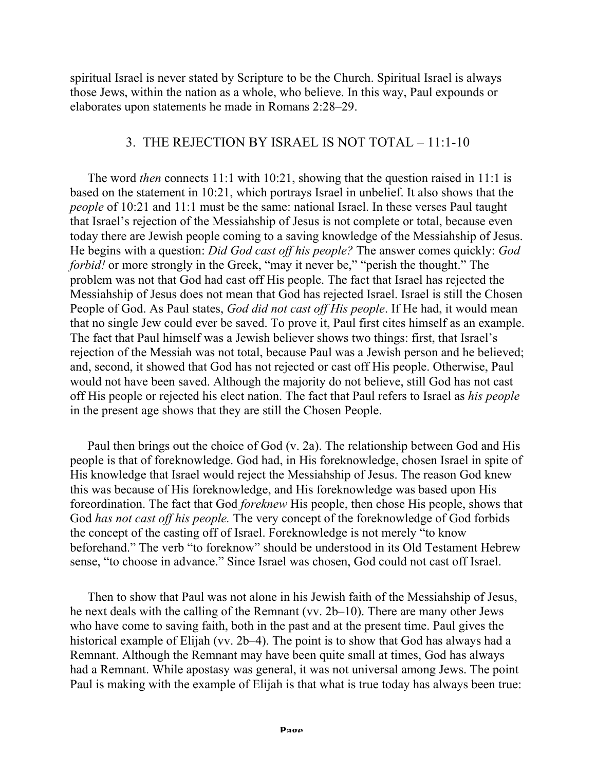spiritual Israel is never stated by Scripture to be the Church. Spiritual Israel is always those Jews, within the nation as a whole, who believe. In this way, Paul expounds or elaborates upon statements he made in Romans 2:28–29.

# 3. THE REJECTION BY ISRAEL IS NOT TOTAL – 11:1-10

The word *then* connects 11:1 with 10:21, showing that the question raised in 11:1 is based on the statement in 10:21, which portrays Israel in unbelief. It also shows that the *people* of 10:21 and 11:1 must be the same: national Israel. In these verses Paul taught that Israel's rejection of the Messiahship of Jesus is not complete or total, because even today there are Jewish people coming to a saving knowledge of the Messiahship of Jesus. He begins with a question: *Did God cast off his people?* The answer comes quickly: *God forbid!* or more strongly in the Greek, "may it never be," "perish the thought." The problem was not that God had cast off His people. The fact that Israel has rejected the Messiahship of Jesus does not mean that God has rejected Israel. Israel is still the Chosen People of God. As Paul states, *God did not cast off His people*. If He had, it would mean that no single Jew could ever be saved. To prove it, Paul first cites himself as an example. The fact that Paul himself was a Jewish believer shows two things: first, that Israel's rejection of the Messiah was not total, because Paul was a Jewish person and he believed; and, second, it showed that God has not rejected or cast off His people. Otherwise, Paul would not have been saved. Although the majority do not believe, still God has not cast off His people or rejected his elect nation. The fact that Paul refers to Israel as *his people* in the present age shows that they are still the Chosen People.

Paul then brings out the choice of God (v. 2a). The relationship between God and His people is that of foreknowledge. God had, in His foreknowledge, chosen Israel in spite of His knowledge that Israel would reject the Messiahship of Jesus. The reason God knew this was because of His foreknowledge, and His foreknowledge was based upon His foreordination. The fact that God *foreknew* His people, then chose His people, shows that God *has not cast off his people.* The very concept of the foreknowledge of God forbids the concept of the casting off of Israel. Foreknowledge is not merely "to know beforehand." The verb "to foreknow" should be understood in its Old Testament Hebrew sense, "to choose in advance." Since Israel was chosen, God could not cast off Israel.

Then to show that Paul was not alone in his Jewish faith of the Messiahship of Jesus, he next deals with the calling of the Remnant (vv. 2b–10). There are many other Jews who have come to saving faith, both in the past and at the present time. Paul gives the historical example of Elijah (vv. 2b–4). The point is to show that God has always had a Remnant. Although the Remnant may have been quite small at times, God has always had a Remnant. While apostasy was general, it was not universal among Jews. The point Paul is making with the example of Elijah is that what is true today has always been true: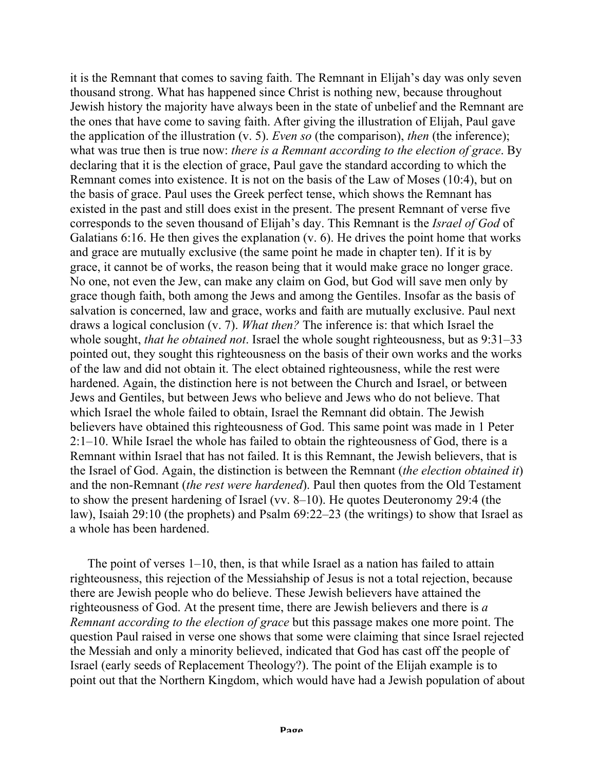it is the Remnant that comes to saving faith. The Remnant in Elijah's day was only seven thousand strong. What has happened since Christ is nothing new, because throughout Jewish history the majority have always been in the state of unbelief and the Remnant are the ones that have come to saving faith. After giving the illustration of Elijah, Paul gave the application of the illustration (v. 5). *Even so* (the comparison), *then* (the inference); what was true then is true now: *there is a Remnant according to the election of grace*. By declaring that it is the election of grace, Paul gave the standard according to which the Remnant comes into existence. It is not on the basis of the Law of Moses (10:4), but on the basis of grace. Paul uses the Greek perfect tense, which shows the Remnant has existed in the past and still does exist in the present. The present Remnant of verse five corresponds to the seven thousand of Elijah's day. This Remnant is the *Israel of God* of Galatians 6:16. He then gives the explanation (v. 6). He drives the point home that works and grace are mutually exclusive (the same point he made in chapter ten). If it is by grace, it cannot be of works, the reason being that it would make grace no longer grace. No one, not even the Jew, can make any claim on God, but God will save men only by grace though faith, both among the Jews and among the Gentiles. Insofar as the basis of salvation is concerned, law and grace, works and faith are mutually exclusive. Paul next draws a logical conclusion (v. 7). *What then?* The inference is: that which Israel the whole sought, *that he obtained not*. Israel the whole sought righteousness, but as 9:31–33 pointed out, they sought this righteousness on the basis of their own works and the works of the law and did not obtain it. The elect obtained righteousness, while the rest were hardened. Again, the distinction here is not between the Church and Israel, or between Jews and Gentiles, but between Jews who believe and Jews who do not believe. That which Israel the whole failed to obtain, Israel the Remnant did obtain. The Jewish believers have obtained this righteousness of God. This same point was made in 1 Peter 2:1–10. While Israel the whole has failed to obtain the righteousness of God, there is a Remnant within Israel that has not failed. It is this Remnant, the Jewish believers, that is the Israel of God. Again, the distinction is between the Remnant (*the election obtained it*) and the non-Remnant (*the rest were hardened*). Paul then quotes from the Old Testament to show the present hardening of Israel (vv. 8–10). He quotes Deuteronomy 29:4 (the law), Isaiah 29:10 (the prophets) and Psalm 69:22–23 (the writings) to show that Israel as a whole has been hardened.

The point of verses 1–10, then, is that while Israel as a nation has failed to attain righteousness, this rejection of the Messiahship of Jesus is not a total rejection, because there are Jewish people who do believe. These Jewish believers have attained the righteousness of God. At the present time, there are Jewish believers and there is *a Remnant according to the election of grace* but this passage makes one more point. The question Paul raised in verse one shows that some were claiming that since Israel rejected the Messiah and only a minority believed, indicated that God has cast off the people of Israel (early seeds of Replacement Theology?). The point of the Elijah example is to point out that the Northern Kingdom, which would have had a Jewish population of about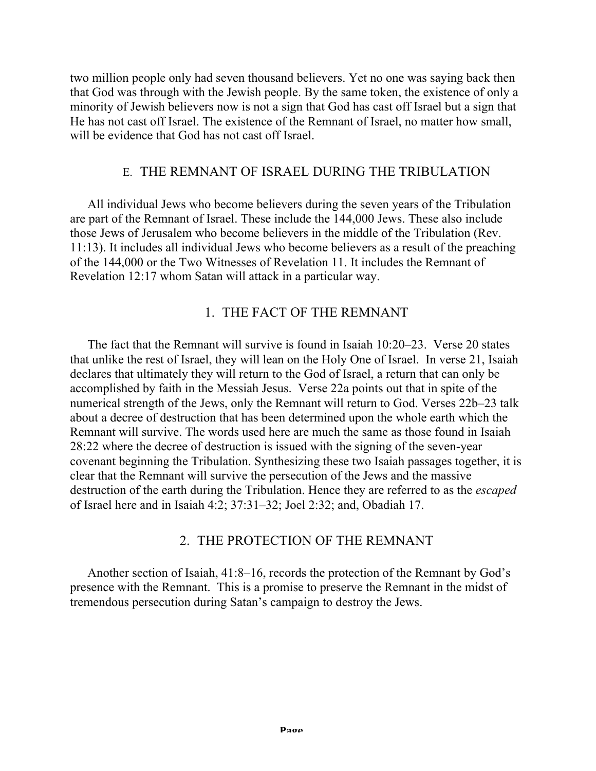two million people only had seven thousand believers. Yet no one was saying back then that God was through with the Jewish people. By the same token, the existence of only a minority of Jewish believers now is not a sign that God has cast off Israel but a sign that He has not cast off Israel. The existence of the Remnant of Israel, no matter how small, will be evidence that God has not cast off Israel.

## E. THE REMNANT OF ISRAEL DURING THE TRIBULATION

All individual Jews who become believers during the seven years of the Tribulation are part of the Remnant of Israel. These include the 144,000 Jews. These also include those Jews of Jerusalem who become believers in the middle of the Tribulation (Rev. 11:13). It includes all individual Jews who become believers as a result of the preaching of the 144,000 or the Two Witnesses of Revelation 11. It includes the Remnant of Revelation 12:17 whom Satan will attack in a particular way.

# 1. THE FACT OF THE REMNANT

The fact that the Remnant will survive is found in Isaiah 10:20–23. Verse 20 states that unlike the rest of Israel, they will lean on the Holy One of Israel. In verse 21, Isaiah declares that ultimately they will return to the God of Israel, a return that can only be accomplished by faith in the Messiah Jesus. Verse 22a points out that in spite of the numerical strength of the Jews, only the Remnant will return to God. Verses 22b–23 talk about a decree of destruction that has been determined upon the whole earth which the Remnant will survive. The words used here are much the same as those found in Isaiah 28:22 where the decree of destruction is issued with the signing of the seven-year covenant beginning the Tribulation. Synthesizing these two Isaiah passages together, it is clear that the Remnant will survive the persecution of the Jews and the massive destruction of the earth during the Tribulation. Hence they are referred to as the *escaped* of Israel here and in Isaiah 4:2; 37:31–32; Joel 2:32; and, Obadiah 17.

# 2. THE PROTECTION OF THE REMNANT

Another section of Isaiah, 41:8–16, records the protection of the Remnant by God's presence with the Remnant. This is a promise to preserve the Remnant in the midst of tremendous persecution during Satan's campaign to destroy the Jews.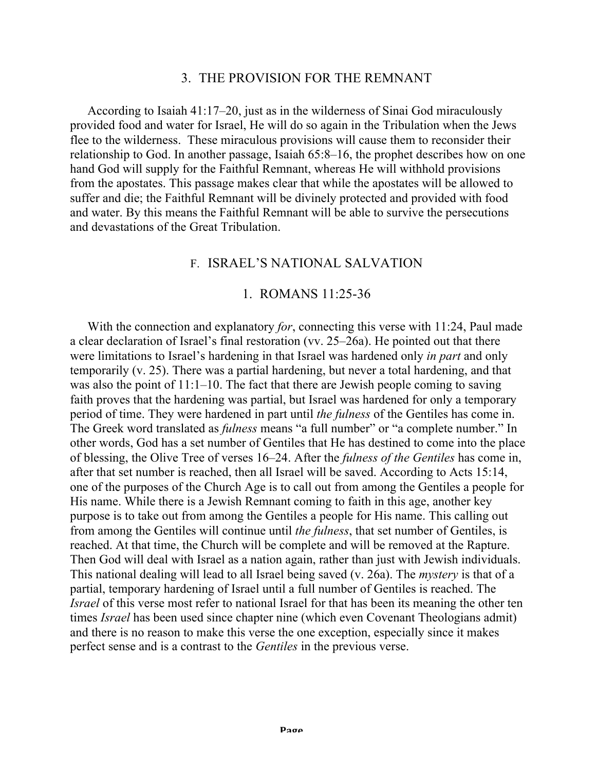#### 3. THE PROVISION FOR THE REMNANT

According to Isaiah 41:17–20, just as in the wilderness of Sinai God miraculously provided food and water for Israel, He will do so again in the Tribulation when the Jews flee to the wilderness. These miraculous provisions will cause them to reconsider their relationship to God. In another passage, Isaiah 65:8–16, the prophet describes how on one hand God will supply for the Faithful Remnant, whereas He will withhold provisions from the apostates. This passage makes clear that while the apostates will be allowed to suffer and die; the Faithful Remnant will be divinely protected and provided with food and water. By this means the Faithful Remnant will be able to survive the persecutions and devastations of the Great Tribulation.

### F. ISRAEL'S NATIONAL SALVATION

#### 1. ROMANS 11:25-36

With the connection and explanatory *for*, connecting this verse with 11:24, Paul made a clear declaration of Israel's final restoration (vv. 25–26a). He pointed out that there were limitations to Israel's hardening in that Israel was hardened only *in part* and only temporarily (v. 25). There was a partial hardening, but never a total hardening, and that was also the point of 11:1–10. The fact that there are Jewish people coming to saving faith proves that the hardening was partial, but Israel was hardened for only a temporary period of time. They were hardened in part until *the fulness* of the Gentiles has come in. The Greek word translated as *fulness* means "a full number" or "a complete number." In other words, God has a set number of Gentiles that He has destined to come into the place of blessing, the Olive Tree of verses 16–24. After the *fulness of the Gentiles* has come in, after that set number is reached, then all Israel will be saved. According to Acts 15:14, one of the purposes of the Church Age is to call out from among the Gentiles a people for His name. While there is a Jewish Remnant coming to faith in this age, another key purpose is to take out from among the Gentiles a people for His name. This calling out from among the Gentiles will continue until *the fulness*, that set number of Gentiles, is reached. At that time, the Church will be complete and will be removed at the Rapture. Then God will deal with Israel as a nation again, rather than just with Jewish individuals. This national dealing will lead to all Israel being saved (v. 26a). The *mystery* is that of a partial, temporary hardening of Israel until a full number of Gentiles is reached. The *Israel* of this verse most refer to national Israel for that has been its meaning the other ten times *Israel* has been used since chapter nine (which even Covenant Theologians admit) and there is no reason to make this verse the one exception, especially since it makes perfect sense and is a contrast to the *Gentiles* in the previous verse.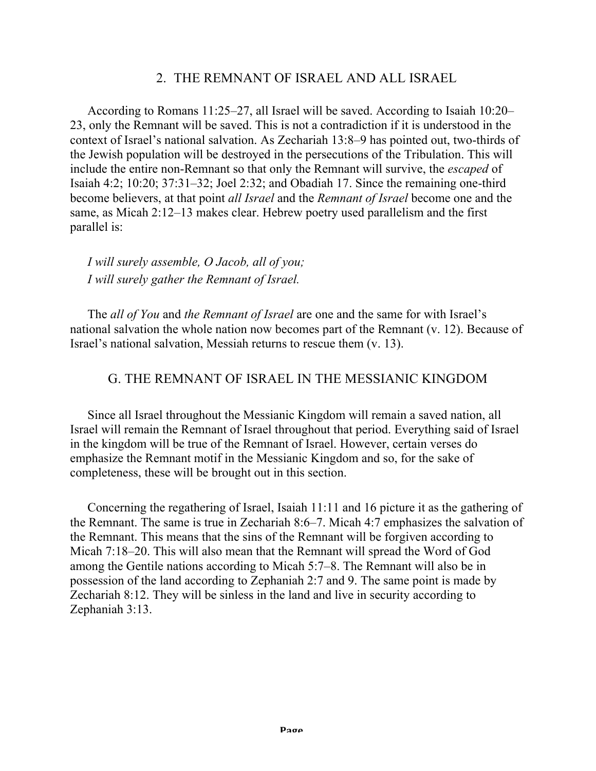## 2. THE REMNANT OF ISRAEL AND ALL ISRAEL

According to Romans 11:25–27, all Israel will be saved. According to Isaiah 10:20– 23, only the Remnant will be saved. This is not a contradiction if it is understood in the context of Israel's national salvation. As Zechariah 13:8–9 has pointed out, two-thirds of the Jewish population will be destroyed in the persecutions of the Tribulation. This will include the entire non-Remnant so that only the Remnant will survive, the *escaped* of Isaiah 4:2; 10:20; 37:31–32; Joel 2:32; and Obadiah 17. Since the remaining one-third become believers, at that point *all Israel* and the *Remnant of Israel* become one and the same, as Micah 2:12–13 makes clear. Hebrew poetry used parallelism and the first parallel is:

*I will surely assemble, O Jacob, all of you; I will surely gather the Remnant of Israel.*

The *all of You* and *the Remnant of Israel* are one and the same for with Israel's national salvation the whole nation now becomes part of the Remnant (v. 12). Because of Israel's national salvation, Messiah returns to rescue them (v. 13).

# G. THE REMNANT OF ISRAEL IN THE MESSIANIC KINGDOM

Since all Israel throughout the Messianic Kingdom will remain a saved nation, all Israel will remain the Remnant of Israel throughout that period. Everything said of Israel in the kingdom will be true of the Remnant of Israel. However, certain verses do emphasize the Remnant motif in the Messianic Kingdom and so, for the sake of completeness, these will be brought out in this section.

Concerning the regathering of Israel, Isaiah 11:11 and 16 picture it as the gathering of the Remnant. The same is true in Zechariah 8:6–7. Micah 4:7 emphasizes the salvation of the Remnant. This means that the sins of the Remnant will be forgiven according to Micah 7:18–20. This will also mean that the Remnant will spread the Word of God among the Gentile nations according to Micah 5:7–8. The Remnant will also be in possession of the land according to Zephaniah 2:7 and 9. The same point is made by Zechariah 8:12. They will be sinless in the land and live in security according to Zephaniah 3:13.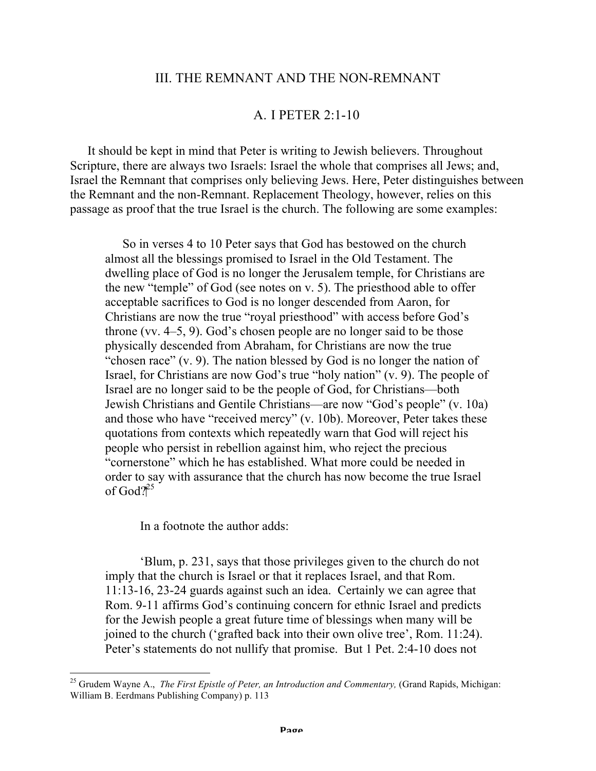### III. THE REMNANT AND THE NON-REMNANT

### A. I PETER 2:1-10

It should be kept in mind that Peter is writing to Jewish believers. Throughout Scripture, there are always two Israels: Israel the whole that comprises all Jews; and, Israel the Remnant that comprises only believing Jews. Here, Peter distinguishes between the Remnant and the non-Remnant. Replacement Theology, however, relies on this passage as proof that the true Israel is the church. The following are some examples:

So in verses 4 to 10 Peter says that God has bestowed on the church almost all the blessings promised to Israel in the Old Testament. The dwelling place of God is no longer the Jerusalem temple, for Christians are the new "temple" of God (see notes on v. 5). The priesthood able to offer acceptable sacrifices to God is no longer descended from Aaron, for Christians are now the true "royal priesthood" with access before God's throne (vv. 4–5, 9). God's chosen people are no longer said to be those physically descended from Abraham, for Christians are now the true "chosen race" (v. 9). The nation blessed by God is no longer the nation of Israel, for Christians are now God's true "holy nation" (v. 9). The people of Israel are no longer said to be the people of God, for Christians—both Jewish Christians and Gentile Christians—are now "God's people" (v. 10a) and those who have "received mercy" (v. 10b). Moreover, Peter takes these quotations from contexts which repeatedly warn that God will reject his people who persist in rebellion against him, who reject the precious "cornerstone" which he has established. What more could be needed in order to say with assurance that the church has now become the true Israel of God?<sup>25</sup>

In a footnote the author adds:

'Blum, p. 231, says that those privileges given to the church do not imply that the church is Israel or that it replaces Israel, and that Rom. 11:13-16, 23-24 guards against such an idea. Certainly we can agree that Rom. 9-11 affirms God's continuing concern for ethnic Israel and predicts for the Jewish people a great future time of blessings when many will be joined to the church ('grafted back into their own olive tree', Rom. 11:24). Peter's statements do not nullify that promise. But 1 Pet. 2:4-10 does not

<sup>&</sup>lt;sup>25</sup> Grudem Wavne A., *The First Epistle of Peter, an Introduction and Commentary, (Grand Rapids, Michigan:* William B. Eerdmans Publishing Company) p. 113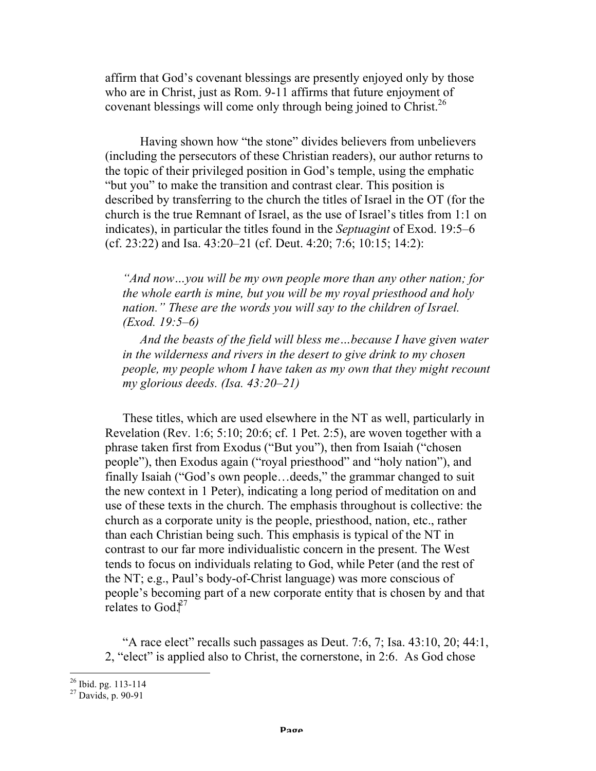affirm that God's covenant blessings are presently enjoyed only by those who are in Christ, just as Rom. 9-11 affirms that future enjoyment of covenant blessings will come only through being joined to Christ.<sup>26</sup>

Having shown how "the stone" divides believers from unbelievers (including the persecutors of these Christian readers), our author returns to the topic of their privileged position in God's temple, using the emphatic "but you" to make the transition and contrast clear. This position is described by transferring to the church the titles of Israel in the OT (for the church is the true Remnant of Israel, as the use of Israel's titles from 1:1 on indicates), in particular the titles found in the *Septuagint* of Exod. 19:5–6 (cf. 23:22) and Isa. 43:20–21 (cf. Deut. 4:20; 7:6; 10:15; 14:2):

*"And now…you will be my own people more than any other nation; for the whole earth is mine, but you will be my royal priesthood and holy nation." These are the words you will say to the children of Israel. (Exod. 19:5–6)*

*And the beasts of the field will bless me…because I have given water in the wilderness and rivers in the desert to give drink to my chosen people, my people whom I have taken as my own that they might recount my glorious deeds. (Isa. 43:20–21)*

These titles, which are used elsewhere in the NT as well, particularly in Revelation (Rev. 1:6; 5:10; 20:6; cf. 1 Pet. 2:5), are woven together with a phrase taken first from Exodus ("But you"), then from Isaiah ("chosen people"), then Exodus again ("royal priesthood" and "holy nation"), and finally Isaiah ("God's own people…deeds," the grammar changed to suit the new context in 1 Peter), indicating a long period of meditation on and use of these texts in the church. The emphasis throughout is collective: the church as a corporate unity is the people, priesthood, nation, etc., rather than each Christian being such. This emphasis is typical of the NT in contrast to our far more individualistic concern in the present. The West tends to focus on individuals relating to God, while Peter (and the rest of the NT; e.g., Paul's body-of-Christ language) was more conscious of people's becoming part of a new corporate entity that is chosen by and that relates to God. $2^7$ 

"A race elect" recalls such passages as Deut. 7:6, 7; Isa.  $43:10$ ,  $20$ ;  $44:1$ , 2, "elect" is applied also to Christ, the cornerstone, in 2:6. As God chose

 $\frac{26}{27}$  Ibid. pg. 113-114<br> $\frac{27}{27}$  Davids, p. 90-91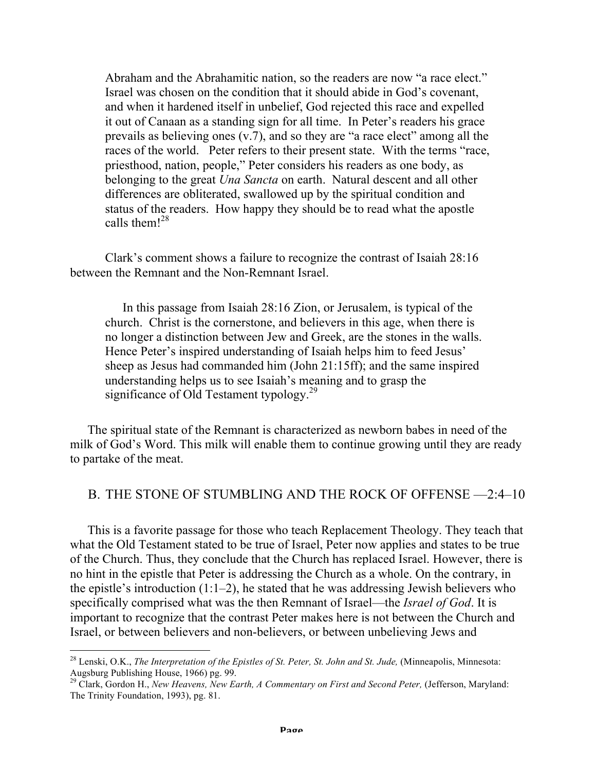Abraham and the Abrahamitic nation, so the readers are now "a race elect." Israel was chosen on the condition that it should abide in God's covenant, and when it hardened itself in unbelief, God rejected this race and expelled it out of Canaan as a standing sign for all time. In Peter's readers his grace prevails as believing ones (v.7), and so they are "a race elect" among all the races of the world. Peter refers to their present state. With the terms "race, priesthood, nation, people," Peter considers his readers as one body, as belonging to the great *Una Sancta* on earth. Natural descent and all other differences are obliterated, swallowed up by the spiritual condition and status of the readers. How happy they should be to read what the apostle calls them! $^{28}$ 

 Clark's comment shows a failure to recognize the contrast of Isaiah 28:16 between the Remnant and the Non-Remnant Israel.

In this passage from Isaiah 28:16 Zion, or Jerusalem, is typical of the church. Christ is the cornerstone, and believers in this age, when there is no longer a distinction between Jew and Greek, are the stones in the walls. Hence Peter's inspired understanding of Isaiah helps him to feed Jesus' sheep as Jesus had commanded him (John 21:15ff); and the same inspired understanding helps us to see Isaiah's meaning and to grasp the significance of Old Testament typology.<sup>29</sup>

The spiritual state of the Remnant is characterized as newborn babes in need of the milk of God's Word. This milk will enable them to continue growing until they are ready to partake of the meat.

#### B. THE STONE OF STUMBLING AND THE ROCK OF OFFENSE —2:4–10

This is a favorite passage for those who teach Replacement Theology. They teach that what the Old Testament stated to be true of Israel, Peter now applies and states to be true of the Church. Thus, they conclude that the Church has replaced Israel. However, there is no hint in the epistle that Peter is addressing the Church as a whole. On the contrary, in the epistle's introduction  $(1:1-2)$ , he stated that he was addressing Jewish believers who specifically comprised what was the then Remnant of Israel—the *Israel of God*. It is important to recognize that the contrast Peter makes here is not between the Church and Israel, or between believers and non-believers, or between unbelieving Jews and

<sup>&</sup>lt;sup>28</sup> Lenski, O.K., *The Interpretation of the Epistles of St. Peter, St. John and St. Jude, (Minneapolis, Minnesota:* Augsburg Publishing House, 1966) pg. 99.<br><sup>29</sup> Clark, Gordon H., *New Heavens, New Earth, A Commentary on First and Second Peter, (Jefferson, Maryland:* 

The Trinity Foundation, 1993), pg. 81.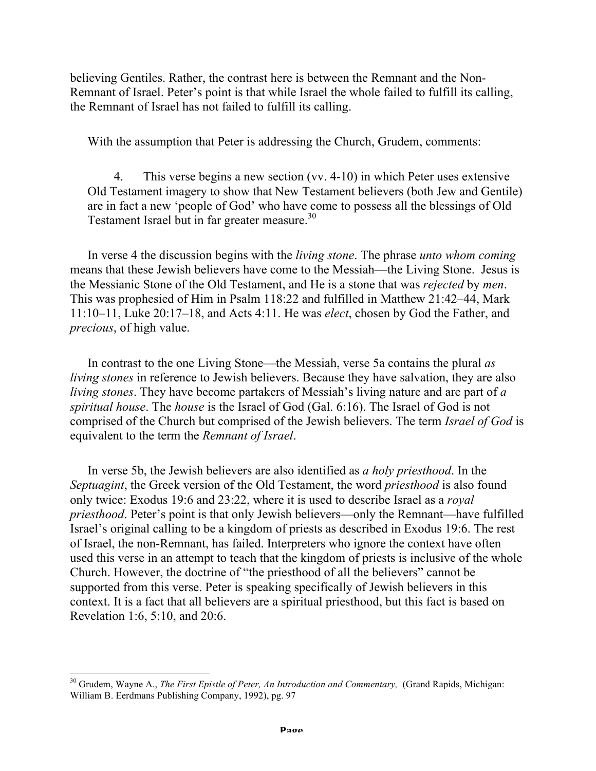believing Gentiles. Rather, the contrast here is between the Remnant and the Non-Remnant of Israel. Peter's point is that while Israel the whole failed to fulfill its calling, the Remnant of Israel has not failed to fulfill its calling.

With the assumption that Peter is addressing the Church, Grudem, comments:

4. This verse begins a new section (vv. 4-10) in which Peter uses extensive Old Testament imagery to show that New Testament believers (both Jew and Gentile) are in fact a new 'people of God' who have come to possess all the blessings of Old Testament Israel but in far greater measure.<sup>30</sup>

In verse 4 the discussion begins with the *living stone*. The phrase *unto whom coming* means that these Jewish believers have come to the Messiah—the Living Stone. Jesus is the Messianic Stone of the Old Testament, and He is a stone that was *rejected* by *men*. This was prophesied of Him in Psalm 118:22 and fulfilled in Matthew 21:42–44, Mark 11:10–11, Luke 20:17–18, and Acts 4:11. He was *elect*, chosen by God the Father, and *precious*, of high value.

In contrast to the one Living Stone—the Messiah, verse 5a contains the plural *as living stones* in reference to Jewish believers. Because they have salvation, they are also *living stones*. They have become partakers of Messiah's living nature and are part of *a spiritual house*. The *house* is the Israel of God (Gal. 6:16). The Israel of God is not comprised of the Church but comprised of the Jewish believers. The term *Israel of God* is equivalent to the term the *Remnant of Israel*.

In verse 5b, the Jewish believers are also identified as *a holy priesthood*. In the *Septuagint*, the Greek version of the Old Testament, the word *priesthood* is also found only twice: Exodus 19:6 and 23:22, where it is used to describe Israel as a *royal priesthood*. Peter's point is that only Jewish believers—only the Remnant—have fulfilled Israel's original calling to be a kingdom of priests as described in Exodus 19:6. The rest of Israel, the non-Remnant, has failed. Interpreters who ignore the context have often used this verse in an attempt to teach that the kingdom of priests is inclusive of the whole Church. However, the doctrine of "the priesthood of all the believers" cannot be supported from this verse. Peter is speaking specifically of Jewish believers in this context. It is a fact that all believers are a spiritual priesthood, but this fact is based on Revelation 1:6, 5:10, and 20:6.

<sup>&</sup>lt;sup>30</sup> Grudem, Wayne A., *The First Epistle of Peter, An Introduction and Commentary, (Grand Rapids, Michigan:* William B. Eerdmans Publishing Company, 1992), pg. 97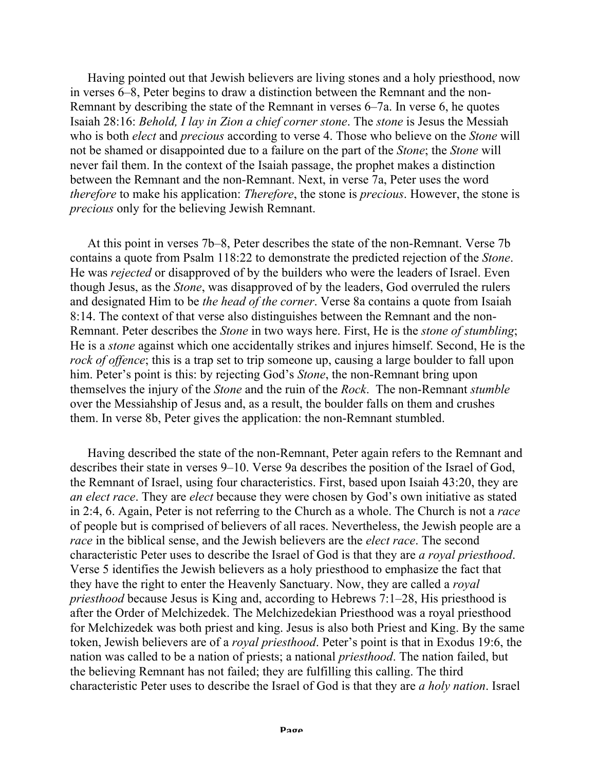Having pointed out that Jewish believers are living stones and a holy priesthood, now in verses 6–8, Peter begins to draw a distinction between the Remnant and the non-Remnant by describing the state of the Remnant in verses 6–7a. In verse 6, he quotes Isaiah 28:16: *Behold, I lay in Zion a chief corner stone*. The *stone* is Jesus the Messiah who is both *elect* and *precious* according to verse 4. Those who believe on the *Stone* will not be shamed or disappointed due to a failure on the part of the *Stone*; the *Stone* will never fail them. In the context of the Isaiah passage, the prophet makes a distinction between the Remnant and the non-Remnant. Next, in verse 7a, Peter uses the word *therefore* to make his application: *Therefore*, the stone is *precious*. However, the stone is *precious* only for the believing Jewish Remnant.

At this point in verses 7b–8, Peter describes the state of the non-Remnant. Verse 7b contains a quote from Psalm 118:22 to demonstrate the predicted rejection of the *Stone*. He was *rejected* or disapproved of by the builders who were the leaders of Israel. Even though Jesus, as the *Stone*, was disapproved of by the leaders, God overruled the rulers and designated Him to be *the head of the corner*. Verse 8a contains a quote from Isaiah 8:14. The context of that verse also distinguishes between the Remnant and the non-Remnant. Peter describes the *Stone* in two ways here. First, He is the *stone of stumbling*; He is a *stone* against which one accidentally strikes and injures himself. Second, He is the *rock of offence*; this is a trap set to trip someone up, causing a large boulder to fall upon him. Peter's point is this: by rejecting God's *Stone*, the non-Remnant bring upon themselves the injury of the *Stone* and the ruin of the *Rock*. The non-Remnant *stumble* over the Messiahship of Jesus and, as a result, the boulder falls on them and crushes them. In verse 8b, Peter gives the application: the non-Remnant stumbled.

Having described the state of the non-Remnant, Peter again refers to the Remnant and describes their state in verses 9–10. Verse 9a describes the position of the Israel of God, the Remnant of Israel, using four characteristics. First, based upon Isaiah 43:20, they are *an elect race*. They are *elect* because they were chosen by God's own initiative as stated in 2:4, 6. Again, Peter is not referring to the Church as a whole. The Church is not a *race* of people but is comprised of believers of all races. Nevertheless, the Jewish people are a *race* in the biblical sense, and the Jewish believers are the *elect race*. The second characteristic Peter uses to describe the Israel of God is that they are *a royal priesthood*. Verse 5 identifies the Jewish believers as a holy priesthood to emphasize the fact that they have the right to enter the Heavenly Sanctuary. Now, they are called a *royal priesthood* because Jesus is King and, according to Hebrews 7:1–28, His priesthood is after the Order of Melchizedek. The Melchizedekian Priesthood was a royal priesthood for Melchizedek was both priest and king. Jesus is also both Priest and King. By the same token, Jewish believers are of a *royal priesthood*. Peter's point is that in Exodus 19:6, the nation was called to be a nation of priests; a national *priesthood*. The nation failed, but the believing Remnant has not failed; they are fulfilling this calling. The third characteristic Peter uses to describe the Israel of God is that they are *a holy nation*. Israel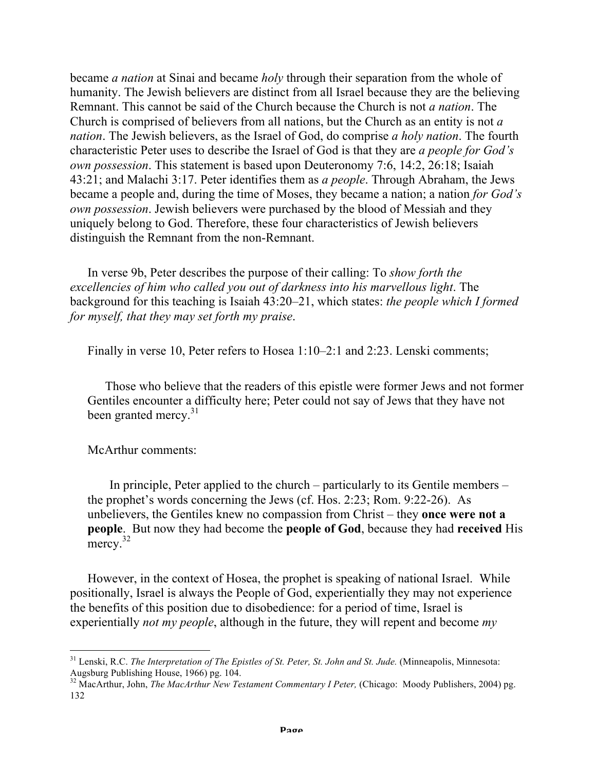became *a nation* at Sinai and became *holy* through their separation from the whole of humanity. The Jewish believers are distinct from all Israel because they are the believing Remnant. This cannot be said of the Church because the Church is not *a nation*. The Church is comprised of believers from all nations, but the Church as an entity is not *a nation*. The Jewish believers, as the Israel of God, do comprise *a holy nation*. The fourth characteristic Peter uses to describe the Israel of God is that they are *a people for God's own possession*. This statement is based upon Deuteronomy 7:6, 14:2, 26:18; Isaiah 43:21; and Malachi 3:17. Peter identifies them as *a people*. Through Abraham, the Jews became a people and, during the time of Moses, they became a nation; a nation *for God's own possession*. Jewish believers were purchased by the blood of Messiah and they uniquely belong to God. Therefore, these four characteristics of Jewish believers distinguish the Remnant from the non-Remnant.

In verse 9b, Peter describes the purpose of their calling: To *show forth the excellencies of him who called you out of darkness into his marvellous light*. The background for this teaching is Isaiah 43:20–21, which states: *the people which I formed for myself, that they may set forth my praise*.

Finally in verse 10, Peter refers to Hosea 1:10–2:1 and 2:23. Lenski comments;

Those who believe that the readers of this epistle were former Jews and not former Gentiles encounter a difficulty here; Peter could not say of Jews that they have not been granted mercy. $31$ 

McArthur comments:

In principle, Peter applied to the church – particularly to its Gentile members – the prophet's words concerning the Jews (cf. Hos. 2:23; Rom. 9:22-26). As unbelievers, the Gentiles knew no compassion from Christ – they **once were not a people**. But now they had become the **people of God**, because they had **received** His mercy.<sup>32</sup>

However, in the context of Hosea, the prophet is speaking of national Israel. While positionally, Israel is always the People of God, experientially they may not experience the benefits of this position due to disobedience: for a period of time, Israel is experientially *not my people*, although in the future, they will repent and become *my* 

<sup>&</sup>lt;sup>31</sup> Lenski, R.C. *The Interpretation of The Epistles of St. Peter, St. John and St. Jude.* (Minneapolis, Minnesota: Augsburg Publishing House, 1966) pg. 104.

<sup>&</sup>lt;sup>32</sup> MacArthur, John, *The MacArthur New Testament Commentary I Peter*, (Chicago: Moody Publishers, 2004) pg. 132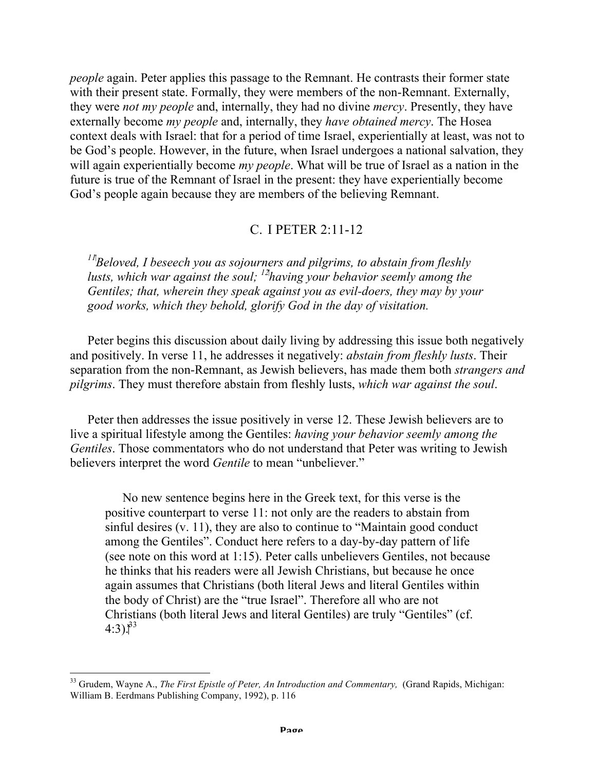*people* again. Peter applies this passage to the Remnant. He contrasts their former state with their present state. Formally, they were members of the non-Remnant. Externally, they were *not my people* and, internally, they had no divine *mercy*. Presently, they have externally become *my people* and, internally, they *have obtained mercy*. The Hosea context deals with Israel: that for a period of time Israel, experientially at least, was not to be God's people. However, in the future, when Israel undergoes a national salvation, they will again experientially become *my people*. What will be true of Israel as a nation in the future is true of the Remnant of Israel in the present: they have experientially become God's people again because they are members of the believing Remnant.

# C. I PETER 2:11-12

<sup>11</sup><sup>*I*</sup>Beloved, I beseech you as sojourners and pilgrims, to abstain from fleshly *lusts, which war against the soul; 12 having your behavior seemly among the Gentiles; that, wherein they speak against you as evil-doers, they may by your good works, which they behold, glorify God in the day of visitation.*

Peter begins this discussion about daily living by addressing this issue both negatively and positively. In verse 11, he addresses it negatively: *abstain from fleshly lusts*. Their separation from the non-Remnant, as Jewish believers, has made them both *strangers and pilgrims*. They must therefore abstain from fleshly lusts, *which war against the soul*.

Peter then addresses the issue positively in verse 12. These Jewish believers are to live a spiritual lifestyle among the Gentiles: *having your behavior seemly among the Gentiles*. Those commentators who do not understand that Peter was writing to Jewish believers interpret the word *Gentile* to mean "unbeliever."

No new sentence begins here in the Greek text, for this verse is the positive counterpart to verse 11: not only are the readers to abstain from sinful desires (v. 11), they are also to continue to "Maintain good conduct among the Gentiles". Conduct here refers to a day-by-day pattern of life (see note on this word at 1:15). Peter calls unbelievers Gentiles, not because he thinks that his readers were all Jewish Christians, but because he once again assumes that Christians (both literal Jews and literal Gentiles within the body of Christ) are the "true Israel". Therefore all who are not Christians (both literal Jews and literal Gentiles) are truly "Gentiles" (cf.  $4:3$ <sup>33</sup>

<sup>&</sup>lt;sup>33</sup> Grudem, Wayne A., *The First Epistle of Peter, An Introduction and Commentary, (Grand Rapids, Michigan:* William B. Eerdmans Publishing Company, 1992), p. 116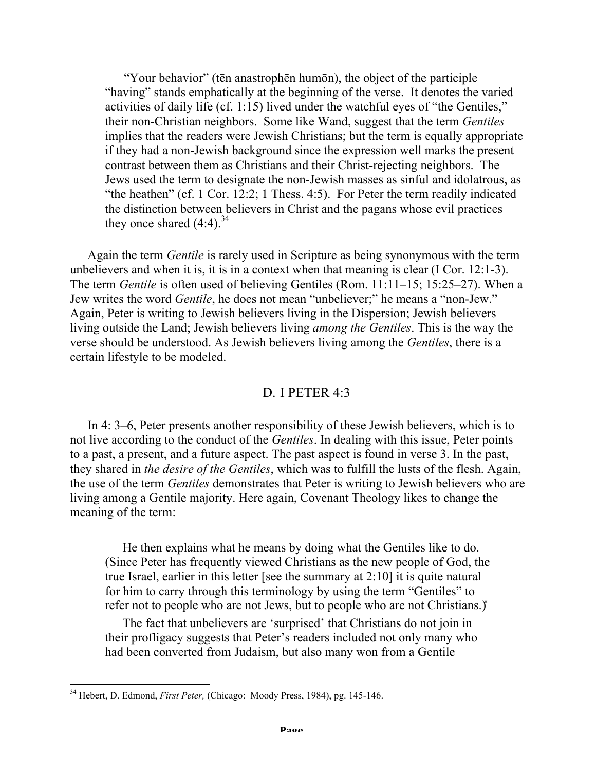"Your behavior" (tēn anastrophēn humōn), the object of the participle "having" stands emphatically at the beginning of the verse. It denotes the varied activities of daily life (cf. 1:15) lived under the watchful eyes of "the Gentiles," their non-Christian neighbors. Some like Wand, suggest that the term *Gentiles*  implies that the readers were Jewish Christians; but the term is equally appropriate if they had a non-Jewish background since the expression well marks the present contrast between them as Christians and their Christ-rejecting neighbors. The Jews used the term to designate the non-Jewish masses as sinful and idolatrous, as "the heathen" (cf. 1 Cor. 12:2; 1 Thess. 4:5). For Peter the term readily indicated the distinction between believers in Christ and the pagans whose evil practices they once shared  $(4:4)$ .<sup>34</sup>

Again the term *Gentile* is rarely used in Scripture as being synonymous with the term unbelievers and when it is, it is in a context when that meaning is clear (I Cor. 12:1-3). The term *Gentile* is often used of believing Gentiles (Rom. 11:11–15; 15:25–27). When a Jew writes the word *Gentile*, he does not mean "unbeliever;" he means a "non-Jew." Again, Peter is writing to Jewish believers living in the Dispersion; Jewish believers living outside the Land; Jewish believers living *among the Gentiles*. This is the way the verse should be understood. As Jewish believers living among the *Gentiles*, there is a certain lifestyle to be modeled.

### D. I PETER 4:3

In 4: 3–6, Peter presents another responsibility of these Jewish believers, which is to not live according to the conduct of the *Gentiles*. In dealing with this issue, Peter points to a past, a present, and a future aspect. The past aspect is found in verse 3. In the past, they shared in *the desire of the Gentiles*, which was to fulfill the lusts of the flesh. Again, the use of the term *Gentiles* demonstrates that Peter is writing to Jewish believers who are living among a Gentile majority. Here again, Covenant Theology likes to change the meaning of the term:

He then explains what he means by doing what the Gentiles like to do. (Since Peter has frequently viewed Christians as the new people of God, the true Israel, earlier in this letter [see the summary at 2:10] it is quite natural for him to carry through this terminology by using the term "Gentiles" to refer not to people who are not Jews, but to people who are not Christians.)

The fact that unbelievers are 'surprised' that Christians do not join in their profligacy suggests that Peter's readers included not only many who had been converted from Judaism, but also many won from a Gentile

 <sup>34</sup> Hebert, D. Edmond, *First Peter,* (Chicago: Moody Press, 1984), pg. 145-146.